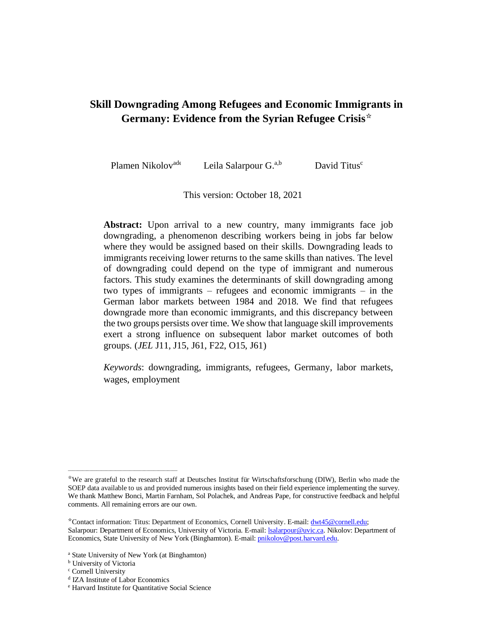# **Skill Downgrading Among Refugees and Economic Immigrants in Germany: Evidence from the Syrian Refugee Crisis**☆

Plamen Nikolov<sup>ade</sup> Leila Salarpour G.<sup>a,b</sup> David Titus<sup>c</sup>

This version: October 18, 2021

Abstract: Upon arrival to a new country, many immigrants face job downgrading, a phenomenon describing workers being in jobs far below where they would be assigned based on their skills. Downgrading leads to immigrants receiving lower returns to the same skills than natives. The level of downgrading could depend on the type of immigrant and numerous factors. This study examines the determinants of skill downgrading among two types of immigrants – refugees and economic immigrants – in the German labor markets between 1984 and 2018. We find that refugees downgrade more than economic immigrants, and this discrepancy between the two groups persists over time. We show that language skill improvements exert a strong influence on subsequent labor market outcomes of both groups. (*JEL* J11, J15, J61, F22, O15, J61)

*Keywords*: downgrading, immigrants, refugees, Germany, labor markets, wages, employment

\_\_\_\_\_\_\_\_\_\_\_\_\_\_\_\_\_\_\_\_\_\_\_\_\_\_\_\_\_\_\_\_\_\_\_\_\_\_\_\_\_\_\_\_\_\_

<sup>☆</sup>We are grateful to the research staff at Deutsches Institut für Wirtschaftsforschung (DIW), Berlin who made the SOEP data available to us and provided numerous insights based on their field experience implementing the survey. We thank Matthew Bonci, Martin Farnham, Sol Polachek, and Andreas Pape, for constructive feedback and helpful comments. All remaining errors are our own.

<sup>☆</sup>Contact information: Titus: Department of Economics, Cornell University. E-mail[: dwt45@cornell.edu;](mailto:dwt45@cornell.edu) Salarpour: Department of Economics, University of Victoria. E-mail[: lsalarpour@uvic.ca.](mailto:lsalarpour@uvic.ca) Nikolov: Department of Economics, State University of New York (Binghamton). E-mail[: pnikolov@post.harvard.edu.](mailto:pnikolov@post.harvard.edu)

<sup>a</sup> State University of New York (at Binghamton)

**b** University of Victoria

<sup>c</sup> Cornell University

d IZA Institute of Labor Economics

<sup>e</sup> Harvard Institute for Quantitative Social Science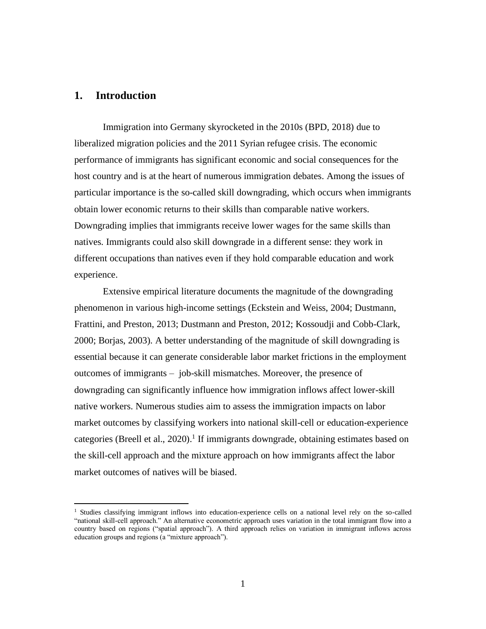# **1. Introduction**

Immigration into Germany skyrocketed in the 2010s (BPD, 2018) due to liberalized migration policies and the 2011 Syrian refugee crisis. The economic performance of immigrants has significant economic and social consequences for the host country and is at the heart of numerous immigration debates. Among the issues of particular importance is the so-called skill downgrading, which occurs when immigrants obtain lower economic returns to their skills than comparable native workers. Downgrading implies that immigrants receive lower wages for the same skills than natives. Immigrants could also skill downgrade in a different sense: they work in different occupations than natives even if they hold comparable education and work experience.

Extensive empirical literature documents the magnitude of the downgrading phenomenon in various high-income settings (Eckstein and Weiss, 2004; Dustmann, Frattini, and Preston, 2013; Dustmann and Preston, 2012; Kossoudji and Cobb-Clark, 2000; Borjas, 2003). A better understanding of the magnitude of skill downgrading is essential because it can generate considerable labor market frictions in the employment outcomes of immigrants – job-skill mismatches. Moreover, the presence of downgrading can significantly influence how immigration inflows affect lower-skill native workers. Numerous studies aim to assess the immigration impacts on labor market outcomes by classifying workers into national skill-cell or education-experience categories (Breell et al., 2020).<sup>1</sup> If immigrants downgrade, obtaining estimates based on the skill-cell approach and the mixture approach on how immigrants affect the labor market outcomes of natives will be biased.

<sup>&</sup>lt;sup>1</sup> Studies classifying immigrant inflows into education-experience cells on a national level rely on the so-called "national skill-cell approach." An alternative econometric approach uses variation in the total immigrant flow into a country based on regions ("spatial approach"). A third approach relies on variation in immigrant inflows across education groups and regions (a "mixture approach").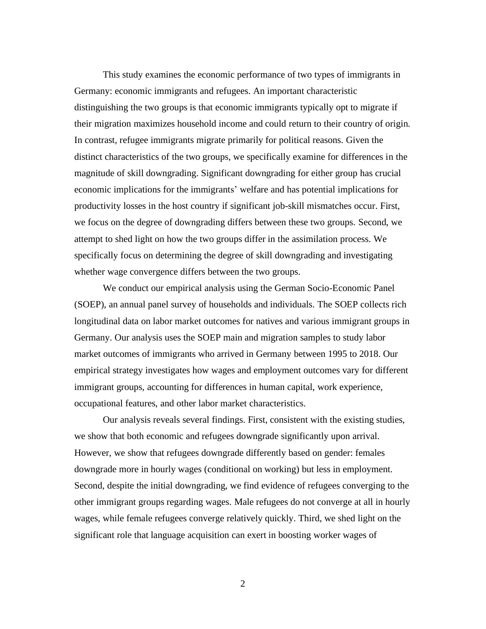This study examines the economic performance of two types of immigrants in Germany: economic immigrants and refugees. An important characteristic distinguishing the two groups is that economic immigrants typically opt to migrate if their migration maximizes household income and could return to their country of origin. In contrast, refugee immigrants migrate primarily for political reasons. Given the distinct characteristics of the two groups, we specifically examine for differences in the magnitude of skill downgrading. Significant downgrading for either group has crucial economic implications for the immigrants' welfare and has potential implications for productivity losses in the host country if significant job-skill mismatches occur. First, we focus on the degree of downgrading differs between these two groups. Second, we attempt to shed light on how the two groups differ in the assimilation process. We specifically focus on determining the degree of skill downgrading and investigating whether wage convergence differs between the two groups.

We conduct our empirical analysis using the German Socio-Economic Panel (SOEP), an annual panel survey of households and individuals. The SOEP collects rich longitudinal data on labor market outcomes for natives and various immigrant groups in Germany. Our analysis uses the SOEP main and migration samples to study labor market outcomes of immigrants who arrived in Germany between 1995 to 2018. Our empirical strategy investigates how wages and employment outcomes vary for different immigrant groups, accounting for differences in human capital, work experience, occupational features, and other labor market characteristics.

Our analysis reveals several findings. First, consistent with the existing studies, we show that both economic and refugees downgrade significantly upon arrival. However, we show that refugees downgrade differently based on gender: females downgrade more in hourly wages (conditional on working) but less in employment. Second, despite the initial downgrading, we find evidence of refugees converging to the other immigrant groups regarding wages. Male refugees do not converge at all in hourly wages, while female refugees converge relatively quickly. Third, we shed light on the significant role that language acquisition can exert in boosting worker wages of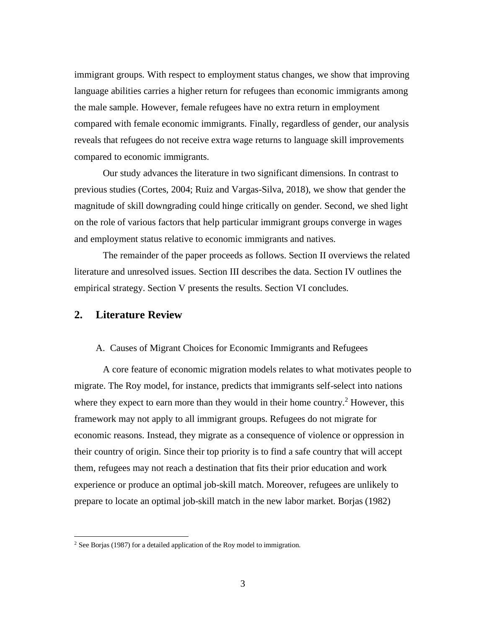immigrant groups. With respect to employment status changes, we show that improving language abilities carries a higher return for refugees than economic immigrants among the male sample. However, female refugees have no extra return in employment compared with female economic immigrants. Finally, regardless of gender, our analysis reveals that refugees do not receive extra wage returns to language skill improvements compared to economic immigrants.

Our study advances the literature in two significant dimensions. In contrast to previous studies (Cortes, 2004; Ruiz and Vargas-Silva, 2018), we show that gender the magnitude of skill downgrading could hinge critically on gender. Second, we shed light on the role of various factors that help particular immigrant groups converge in wages and employment status relative to economic immigrants and natives.

The remainder of the paper proceeds as follows. Section II overviews the related literature and unresolved issues. Section III describes the data. Section IV outlines the empirical strategy. Section V presents the results. Section VI concludes.

## **2. Literature Review**

#### A. Causes of Migrant Choices for Economic Immigrants and Refugees

A core feature of economic migration models relates to what motivates people to migrate. The Roy model, for instance, predicts that immigrants self-select into nations where they expect to earn more than they would in their home country.<sup>2</sup> However, this framework may not apply to all immigrant groups. Refugees do not migrate for economic reasons. Instead, they migrate as a consequence of violence or oppression in their country of origin. Since their top priority is to find a safe country that will accept them, refugees may not reach a destination that fits their prior education and work experience or produce an optimal job-skill match. Moreover, refugees are unlikely to prepare to locate an optimal job-skill match in the new labor market. Borjas (1982)

 $2$  See Borjas (1987) for a detailed application of the Roy model to immigration.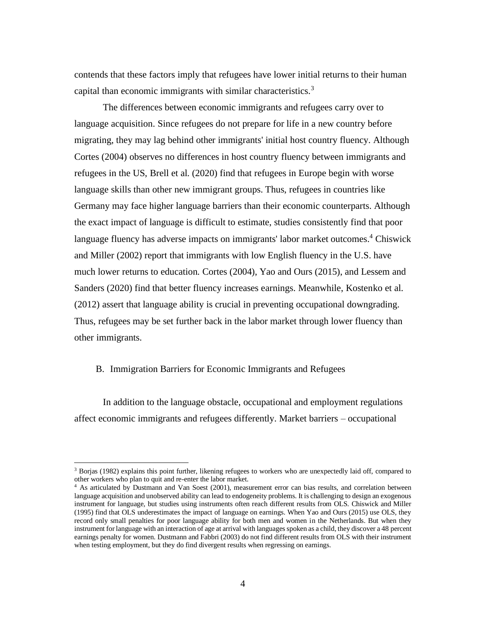contends that these factors imply that refugees have lower initial returns to their human capital than economic immigrants with similar characteristics.<sup>3</sup>

The differences between economic immigrants and refugees carry over to language acquisition. Since refugees do not prepare for life in a new country before migrating, they may lag behind other immigrants' initial host country fluency. Although Cortes (2004) observes no differences in host country fluency between immigrants and refugees in the US, Brell et al. (2020) find that refugees in Europe begin with worse language skills than other new immigrant groups. Thus, refugees in countries like Germany may face higher language barriers than their economic counterparts. Although the exact impact of language is difficult to estimate, studies consistently find that poor language fluency has adverse impacts on immigrants' labor market outcomes. <sup>4</sup> Chiswick and Miller (2002) report that immigrants with low English fluency in the U.S. have much lower returns to education. Cortes (2004), Yao and Ours (2015), and Lessem and Sanders (2020) find that better fluency increases earnings. Meanwhile, Kostenko et al. (2012) assert that language ability is crucial in preventing occupational downgrading. Thus, refugees may be set further back in the labor market through lower fluency than other immigrants.

#### B. Immigration Barriers for Economic Immigrants and Refugees

In addition to the language obstacle, occupational and employment regulations affect economic immigrants and refugees differently. Market barriers – occupational

<sup>3</sup> Borjas (1982) explains this point further, likening refugees to workers who are unexpectedly laid off, compared to other workers who plan to quit and re-enter the labor market.

<sup>4</sup> As articulated by Dustmann and Van Soest (2001), measurement error can bias results, and correlation between language acquisition and unobserved ability can lead to endogeneity problems. It is challenging to design an exogenous instrument for language, but studies using instruments often reach different results from OLS. Chiswick and Miller (1995) find that OLS underestimates the impact of language on earnings. When Yao and Ours (2015) use OLS, they record only small penalties for poor language ability for both men and women in the Netherlands. But when they instrument for language with an interaction of age at arrival with languages spoken as a child, they discover a 48 percent earnings penalty for women. Dustmann and Fabbri (2003) do not find different results from OLS with their instrument when testing employment, but they do find divergent results when regressing on earnings.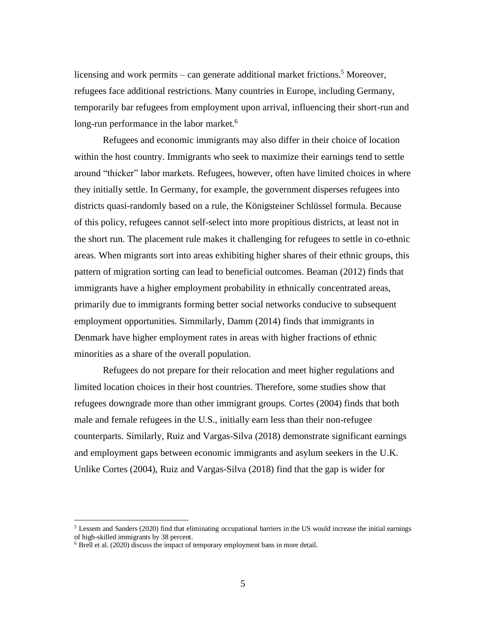licensing and work permits – can generate additional market frictions.<sup>5</sup> Moreover, refugees face additional restrictions. Many countries in Europe, including Germany, temporarily bar refugees from employment upon arrival, influencing their short-run and long-run performance in the labor market.<sup>6</sup>

Refugees and economic immigrants may also differ in their choice of location within the host country. Immigrants who seek to maximize their earnings tend to settle around "thicker" labor markets. Refugees, however, often have limited choices in where they initially settle. In Germany, for example, the government disperses refugees into districts quasi-randomly based on a rule, the Königsteiner Schlüssel formula. Because of this policy, refugees cannot self-select into more propitious districts, at least not in the short run. The placement rule makes it challenging for refugees to settle in co-ethnic areas. When migrants sort into areas exhibiting higher shares of their ethnic groups, this pattern of migration sorting can lead to beneficial outcomes. Beaman (2012) finds that immigrants have a higher employment probability in ethnically concentrated areas, primarily due to immigrants forming better social networks conducive to subsequent employment opportunities. Simmilarly, Damm (2014) finds that immigrants in Denmark have higher employment rates in areas with higher fractions of ethnic minorities as a share of the overall population.

Refugees do not prepare for their relocation and meet higher regulations and limited location choices in their host countries. Therefore, some studies show that refugees downgrade more than other immigrant groups. Cortes (2004) finds that both male and female refugees in the U.S., initially earn less than their non-refugee counterparts. Similarly, Ruiz and Vargas-Silva (2018) demonstrate significant earnings and employment gaps between economic immigrants and asylum seekers in the U.K. Unlike Cortes (2004), Ruiz and Vargas-Silva (2018) find that the gap is wider for

 $<sup>5</sup>$  Lessem and Sanders (2020) find that eliminating occupational barriers in the US would increase the initial earnings</sup> of high-skilled immigrants by 38 percent.

 $6$  Brell et al. (2020) discuss the impact of temporary employment bans in more detail.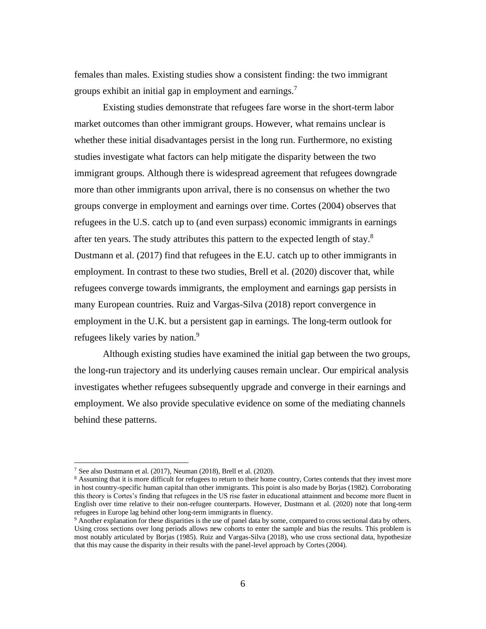females than males. Existing studies show a consistent finding: the two immigrant groups exhibit an initial gap in employment and earnings.<sup>7</sup>

Existing studies demonstrate that refugees fare worse in the short-term labor market outcomes than other immigrant groups. However, what remains unclear is whether these initial disadvantages persist in the long run. Furthermore, no existing studies investigate what factors can help mitigate the disparity between the two immigrant groups. Although there is widespread agreement that refugees downgrade more than other immigrants upon arrival, there is no consensus on whether the two groups converge in employment and earnings over time. Cortes (2004) observes that refugees in the U.S. catch up to (and even surpass) economic immigrants in earnings after ten years. The study attributes this pattern to the expected length of stay. $8$ Dustmann et al. (2017) find that refugees in the E.U. catch up to other immigrants in employment. In contrast to these two studies, Brell et al. (2020) discover that, while refugees converge towards immigrants, the employment and earnings gap persists in many European countries. Ruiz and Vargas-Silva (2018) report convergence in employment in the U.K. but a persistent gap in earnings. The long-term outlook for refugees likely varies by nation.<sup>9</sup>

Although existing studies have examined the initial gap between the two groups, the long-run trajectory and its underlying causes remain unclear. Our empirical analysis investigates whether refugees subsequently upgrade and converge in their earnings and employment. We also provide speculative evidence on some of the mediating channels behind these patterns.

<sup>7</sup> See also Dustmann et al. (2017), Neuman (2018), Brell et al. (2020).

<sup>&</sup>lt;sup>8</sup> Assuming that it is more difficult for refugees to return to their home country, Cortes contends that they invest more in host country-specific human capital than other immigrants. This point is also made by Borjas (1982). Corroborating this theory is Cortes's finding that refugees in the US rise faster in educational attainment and become more fluent in English over time relative to their non-refugee counterparts. However, Dustmann et al. (2020) note that long-term refugees in Europe lag behind other long-term immigrants in fluency.

<sup>&</sup>lt;sup>9</sup> Another explanation for these disparities is the use of panel data by some, compared to cross sectional data by others. Using cross sections over long periods allows new cohorts to enter the sample and bias the results. This problem is most notably articulated by Borjas (1985). Ruiz and Vargas-Silva (2018), who use cross sectional data, hypothesize that this may cause the disparity in their results with the panel-level approach by Cortes (2004).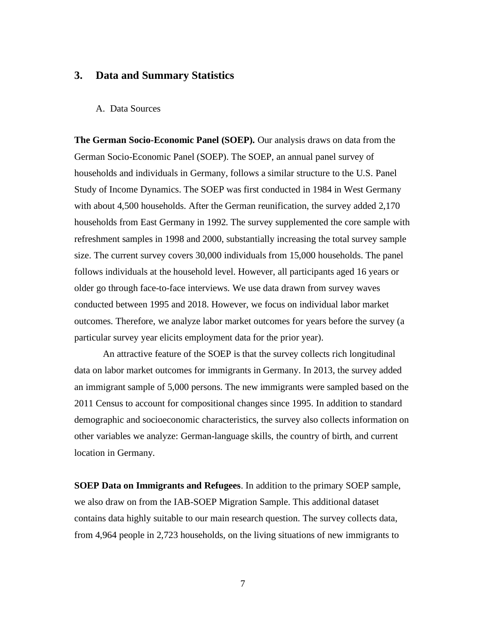## **3. Data and Summary Statistics**

#### A. Data Sources

**The German Socio-Economic Panel (SOEP).** Our analysis draws on data from the German Socio-Economic Panel (SOEP). The SOEP, an annual panel survey of households and individuals in Germany, follows a similar structure to the U.S. Panel Study of Income Dynamics. The SOEP was first conducted in 1984 in West Germany with about 4,500 households. After the German reunification, the survey added 2,170 households from East Germany in 1992. The survey supplemented the core sample with refreshment samples in 1998 and 2000, substantially increasing the total survey sample size. The current survey covers 30,000 individuals from 15,000 households. The panel follows individuals at the household level. However, all participants aged 16 years or older go through face-to-face interviews. We use data drawn from survey waves conducted between 1995 and 2018. However, we focus on individual labor market outcomes. Therefore, we analyze labor market outcomes for years before the survey (a particular survey year elicits employment data for the prior year).

An attractive feature of the SOEP is that the survey collects rich longitudinal data on labor market outcomes for immigrants in Germany. In 2013, the survey added an immigrant sample of 5,000 persons. The new immigrants were sampled based on the 2011 Census to account for compositional changes since 1995. In addition to standard demographic and socioeconomic characteristics, the survey also collects information on other variables we analyze: German-language skills, the country of birth, and current location in Germany.

**SOEP Data on Immigrants and Refugees**. In addition to the primary SOEP sample, we also draw on from the IAB-SOEP Migration Sample. This additional dataset contains data highly suitable to our main research question. The survey collects data, from 4,964 people in 2,723 households, on the living situations of new immigrants to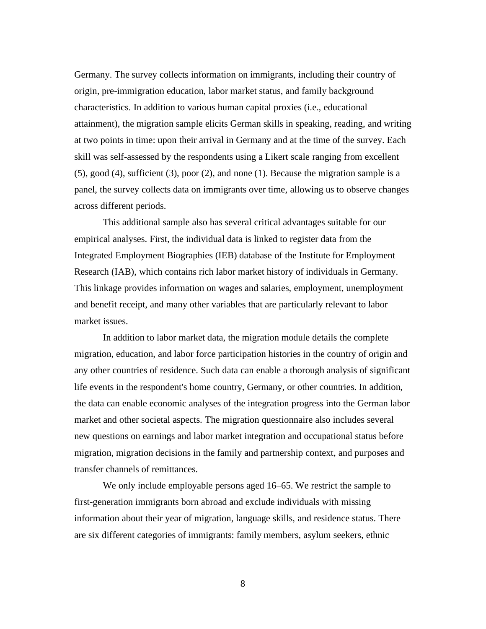Germany. The survey collects information on immigrants, including their country of origin, pre-immigration education, labor market status, and family background characteristics. In addition to various human capital proxies (i.e., educational attainment), the migration sample elicits German skills in speaking, reading, and writing at two points in time: upon their arrival in Germany and at the time of the survey. Each skill was self-assessed by the respondents using a Likert scale ranging from excellent (5), good (4), sufficient (3), poor (2), and none (1). Because the migration sample is a panel, the survey collects data on immigrants over time, allowing us to observe changes across different periods.

This additional sample also has several critical advantages suitable for our empirical analyses. First, the individual data is linked to register data from the Integrated Employment Biographies (IEB) database of the Institute for Employment Research (IAB), which contains rich labor market history of individuals in Germany. This linkage provides information on wages and salaries, employment, unemployment and benefit receipt, and many other variables that are particularly relevant to labor market issues.

In addition to labor market data, the migration module details the complete migration, education, and labor force participation histories in the country of origin and any other countries of residence. Such data can enable a thorough analysis of significant life events in the respondent's home country, Germany, or other countries. In addition, the data can enable economic analyses of the integration progress into the German labor market and other societal aspects. The migration questionnaire also includes several new questions on earnings and labor market integration and occupational status before migration, migration decisions in the family and partnership context, and purposes and transfer channels of remittances.

We only include employable persons aged 16–65. We restrict the sample to first-generation immigrants born abroad and exclude individuals with missing information about their year of migration, language skills, and residence status. There are six different categories of immigrants: family members, asylum seekers, ethnic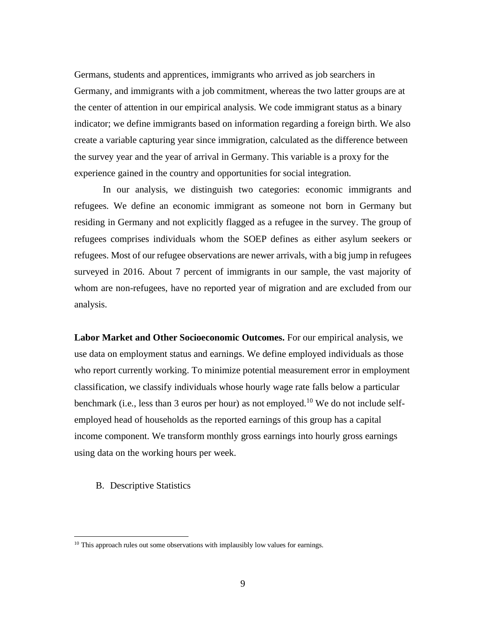Germans, students and apprentices, immigrants who arrived as job searchers in Germany, and immigrants with a job commitment, whereas the two latter groups are at the center of attention in our empirical analysis. We code immigrant status as a binary indicator; we define immigrants based on information regarding a foreign birth. We also create a variable capturing year since immigration, calculated as the difference between the survey year and the year of arrival in Germany. This variable is a proxy for the experience gained in the country and opportunities for social integration.

In our analysis, we distinguish two categories: economic immigrants and refugees. We define an economic immigrant as someone not born in Germany but residing in Germany and not explicitly flagged as a refugee in the survey. The group of refugees comprises individuals whom the SOEP defines as either asylum seekers or refugees. Most of our refugee observations are newer arrivals, with a big jump in refugees surveyed in 2016. About 7 percent of immigrants in our sample, the vast majority of whom are non-refugees, have no reported year of migration and are excluded from our analysis.

**Labor Market and Other Socioeconomic Outcomes.** For our empirical analysis, we use data on employment status and earnings. We define employed individuals as those who report currently working. To minimize potential measurement error in employment classification, we classify individuals whose hourly wage rate falls below a particular benchmark (i.e., less than 3 euros per hour) as not employed.<sup>10</sup> We do not include selfemployed head of households as the reported earnings of this group has a capital income component. We transform monthly gross earnings into hourly gross earnings using data on the working hours per week.

B. Descriptive Statistics

 $10$  This approach rules out some observations with implausibly low values for earnings.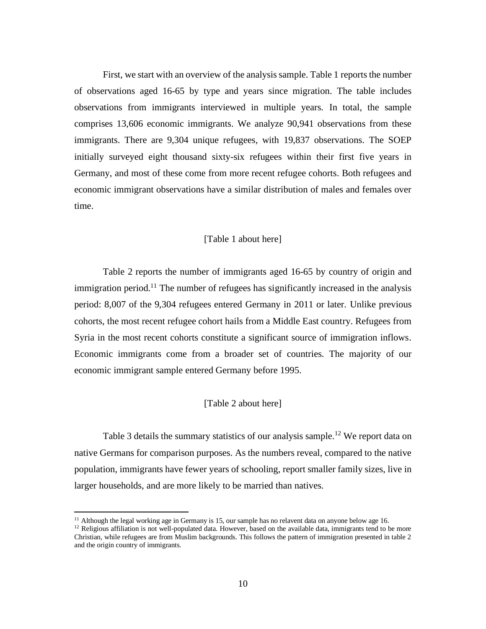First, we start with an overview of the analysis sample. Table 1 reports the number of observations aged 16-65 by type and years since migration. The table includes observations from immigrants interviewed in multiple years. In total, the sample comprises 13,606 economic immigrants. We analyze 90,941 observations from these immigrants. There are 9,304 unique refugees, with 19,837 observations. The SOEP initially surveyed eight thousand sixty-six refugees within their first five years in Germany, and most of these come from more recent refugee cohorts. Both refugees and economic immigrant observations have a similar distribution of males and females over time.

#### [Table 1 about here]

Table 2 reports the number of immigrants aged 16-65 by country of origin and immigration period.<sup>11</sup> The number of refugees has significantly increased in the analysis period: 8,007 of the 9,304 refugees entered Germany in 2011 or later. Unlike previous cohorts, the most recent refugee cohort hails from a Middle East country. Refugees from Syria in the most recent cohorts constitute a significant source of immigration inflows. Economic immigrants come from a broader set of countries. The majority of our economic immigrant sample entered Germany before 1995.

#### [Table 2 about here]

Table 3 details the summary statistics of our analysis sample.<sup>12</sup> We report data on native Germans for comparison purposes. As the numbers reveal, compared to the native population, immigrants have fewer years of schooling, report smaller family sizes, live in larger households, and are more likely to be married than natives.

<sup>&</sup>lt;sup>11</sup> Although the legal working age in Germany is 15, our sample has no relavent data on anyone below age 16.

 $12$  Religious affiliation is not well-populated data. However, based on the available data, immigrants tend to be more Christian, while refugees are from Muslim backgrounds. This follows the pattern of immigration presented in table 2 and the origin country of immigrants.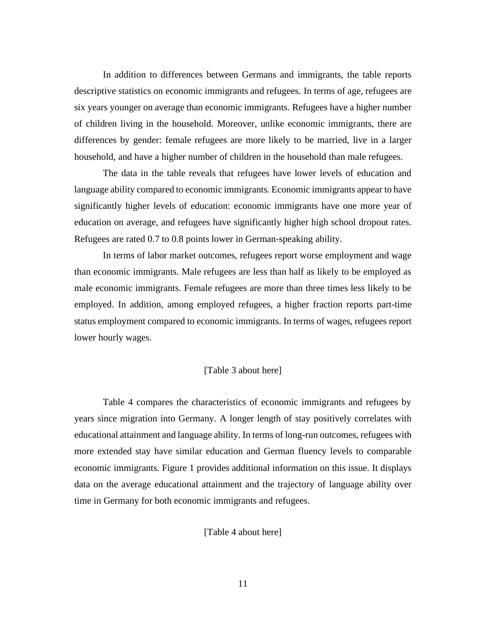In addition to differences between Germans and immigrants, the table reports descriptive statistics on economic immigrants and refugees. In terms of age, refugees are six years younger on average than economic immigrants. Refugees have a higher number of children living in the household. Moreover, unlike economic immigrants, there are differences by gender: female refugees are more likely to be married, live in a larger household, and have a higher number of children in the household than male refugees.

The data in the table reveals that refugees have lower levels of education and language ability compared to economic immigrants. Economic immigrants appear to have significantly higher levels of education: economic immigrants have one more year of education on average, and refugees have significantly higher high school dropout rates. Refugees are rated 0.7 to 0.8 points lower in German-speaking ability.

In terms of labor market outcomes, refugees report worse employment and wage than economic immigrants. Male refugees are less than half as likely to be employed as male economic immigrants. Female refugees are more than three times less likely to be employed. In addition, among employed refugees, a higher fraction reports part-time status employment compared to economic immigrants. In terms of wages, refugees report lower hourly wages.

#### [Table 3 about here]

Table 4 compares the characteristics of economic immigrants and refugees by years since migration into Germany. A longer length of stay positively correlates with educational attainment and language ability. In terms of long-run outcomes, refugees with more extended stay have similar education and German fluency levels to comparable economic immigrants. Figure 1 provides additional information on this issue. It displays data on the average educational attainment and the trajectory of language ability over time in Germany for both economic immigrants and refugees.

[Table 4 about here]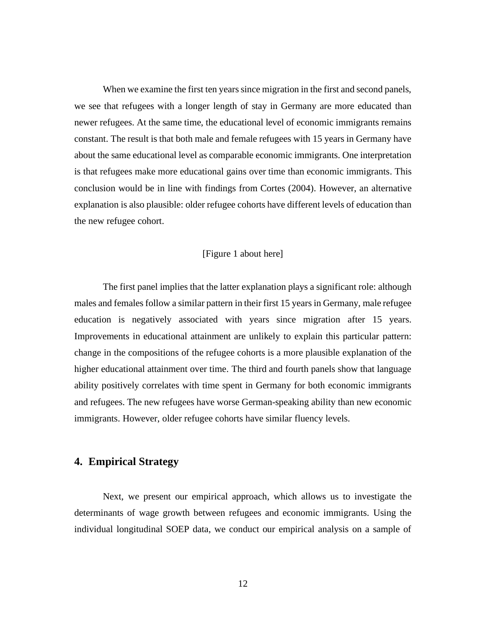When we examine the first ten years since migration in the first and second panels, we see that refugees with a longer length of stay in Germany are more educated than newer refugees. At the same time, the educational level of economic immigrants remains constant. The result is that both male and female refugees with 15 years in Germany have about the same educational level as comparable economic immigrants. One interpretation is that refugees make more educational gains over time than economic immigrants. This conclusion would be in line with findings from Cortes (2004). However, an alternative explanation is also plausible: older refugee cohorts have different levels of education than the new refugee cohort.

#### [Figure 1 about here]

The first panel implies that the latter explanation plays a significant role: although males and females follow a similar pattern in their first 15 years in Germany, male refugee education is negatively associated with years since migration after 15 years. Improvements in educational attainment are unlikely to explain this particular pattern: change in the compositions of the refugee cohorts is a more plausible explanation of the higher educational attainment over time. The third and fourth panels show that language ability positively correlates with time spent in Germany for both economic immigrants and refugees. The new refugees have worse German-speaking ability than new economic immigrants. However, older refugee cohorts have similar fluency levels.

# **4. Empirical Strategy**

Next, we present our empirical approach, which allows us to investigate the determinants of wage growth between refugees and economic immigrants. Using the individual longitudinal SOEP data, we conduct our empirical analysis on a sample of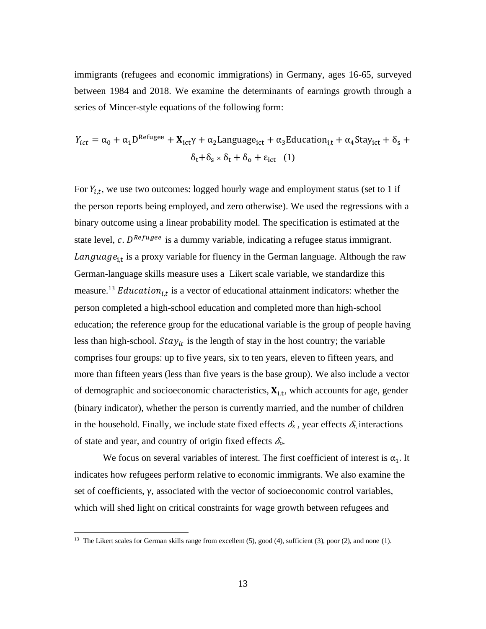immigrants (refugees and economic immigrations) in Germany, ages 16-65, surveyed between 1984 and 2018. We examine the determinants of earnings growth through a series of Mincer-style equations of the following form:

$$
Y_{ict} = \alpha_0 + \alpha_1 D^{Refuge} + \mathbf{X}_{ict} \gamma + \alpha_2 \text{Language}_{ict} + \alpha_3 \text{Education}_{i,t} + \alpha_4 \text{Stay}_{ict} + \delta_s + \delta_t + \delta_s \times \delta_t + \delta_0 + \epsilon_{ict} \quad (1)
$$

For  $Y_{i,t}$ , we use two outcomes: logged hourly wage and employment status (set to 1 if the person reports being employed, and zero otherwise). We used the regressions with a binary outcome using a linear probability model. The specification is estimated at the state level, c.  $D^{Refuge}$  is a dummy variable, indicating a refugee status immigrant. Language<sub>i,t</sub> is a proxy variable for fluency in the German language. Although the raw German-language skills measure uses a Likert scale variable, we standardize this measure.<sup>13</sup> *Education*<sub>*i,t*</sub> is a vector of educational attainment indicators: whether the person completed a high-school education and completed more than high-school education; the reference group for the educational variable is the group of people having less than high-school.  $Stay_{it}$  is the length of stay in the host country; the variable comprises four groups: up to five years, six to ten years, eleven to fifteen years, and more than fifteen years (less than five years is the base group). We also include a vector of demographic and socioeconomic characteristics,  $X_{i,t}$ , which accounts for age, gender (binary indicator), whether the person is currently married, and the number of children in the household. Finally, we include state fixed effects  $\delta_{s}$ , year effects  $\delta_{t}$  interactions of state and year, and country of origin fixed effects  $\delta$ .

We focus on several variables of interest. The first coefficient of interest is  $\alpha_1$ . It indicates how refugees perform relative to economic immigrants. We also examine the set of coefficients, γ, associated with the vector of socioeconomic control variables, which will shed light on critical constraints for wage growth between refugees and

<sup>&</sup>lt;sup>13</sup> The Likert scales for German skills range from excellent (5), good (4), sufficient (3), poor (2), and none (1).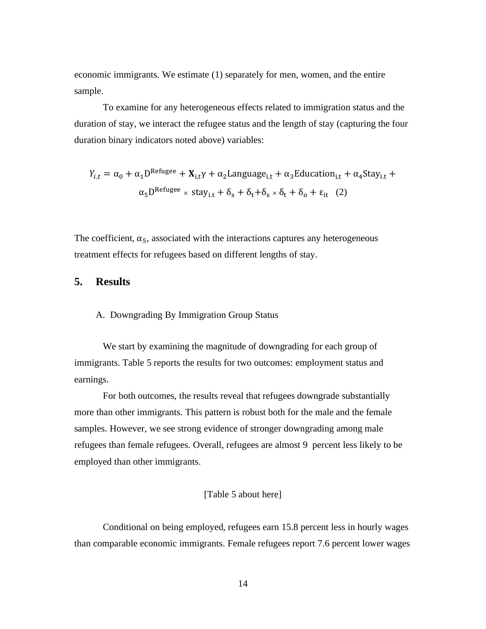economic immigrants. We estimate (1) separately for men, women, and the entire sample.

To examine for any heterogeneous effects related to immigration status and the duration of stay, we interact the refugee status and the length of stay (capturing the four duration binary indicators noted above) variables:

$$
Y_{i,t} = \alpha_0 + \alpha_1 D^{Refugee} + \mathbf{X}_{i,t} \gamma + \alpha_2 Language_{i,t} + \alpha_3 Eduction_{i,t} + \alpha_4 Stay_{i,t} + \alpha_5 D^{Refugee} \times stay_{i,t} + \delta_s + \delta_t + \delta_s \times \delta_t + \delta_0 + \varepsilon_{it} \quad (2)
$$

The coefficient,  $\alpha_5$ , associated with the interactions captures any heterogeneous treatment effects for refugees based on different lengths of stay.

# **5. Results**

#### A. Downgrading By Immigration Group Status

We start by examining the magnitude of downgrading for each group of immigrants. Table 5 reports the results for two outcomes: employment status and earnings.

For both outcomes, the results reveal that refugees downgrade substantially more than other immigrants. This pattern is robust both for the male and the female samples. However, we see strong evidence of stronger downgrading among male refugees than female refugees. Overall, refugees are almost 9 percent less likely to be employed than other immigrants.

#### [Table 5 about here]

Conditional on being employed, refugees earn 15.8 percent less in hourly wages than comparable economic immigrants. Female refugees report 7.6 percent lower wages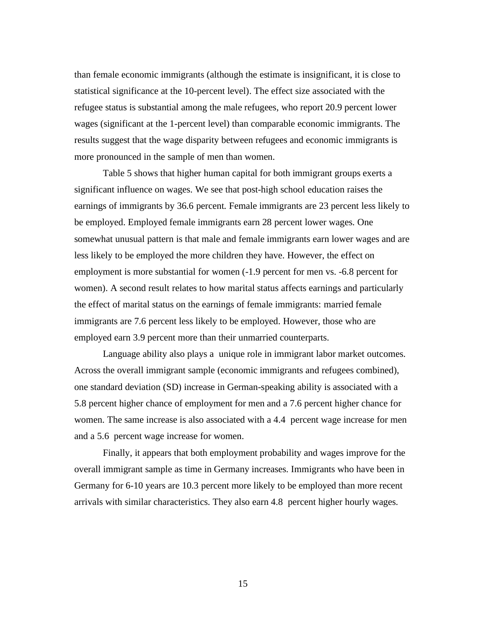than female economic immigrants (although the estimate is insignificant, it is close to statistical significance at the 10-percent level). The effect size associated with the refugee status is substantial among the male refugees, who report 20.9 percent lower wages (significant at the 1-percent level) than comparable economic immigrants. The results suggest that the wage disparity between refugees and economic immigrants is more pronounced in the sample of men than women.

Table 5 shows that higher human capital for both immigrant groups exerts a significant influence on wages. We see that post-high school education raises the earnings of immigrants by 36.6 percent. Female immigrants are 23 percent less likely to be employed. Employed female immigrants earn 28 percent lower wages. One somewhat unusual pattern is that male and female immigrants earn lower wages and are less likely to be employed the more children they have. However, the effect on employment is more substantial for women (-1.9 percent for men vs. -6.8 percent for women). A second result relates to how marital status affects earnings and particularly the effect of marital status on the earnings of female immigrants: married female immigrants are 7.6 percent less likely to be employed. However, those who are employed earn 3.9 percent more than their unmarried counterparts.

Language ability also plays a unique role in immigrant labor market outcomes. Across the overall immigrant sample (economic immigrants and refugees combined), one standard deviation (SD) increase in German-speaking ability is associated with a 5.8 percent higher chance of employment for men and a 7.6 percent higher chance for women. The same increase is also associated with a 4.4 percent wage increase for men and a 5.6 percent wage increase for women.

Finally, it appears that both employment probability and wages improve for the overall immigrant sample as time in Germany increases. Immigrants who have been in Germany for 6-10 years are 10.3 percent more likely to be employed than more recent arrivals with similar characteristics. They also earn 4.8 percent higher hourly wages.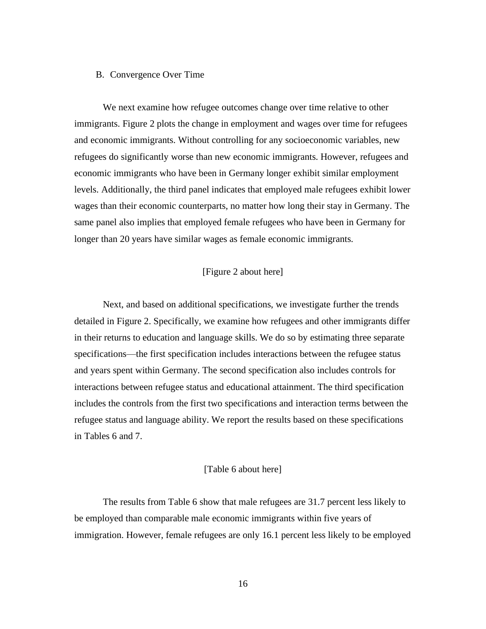#### B. Convergence Over Time

We next examine how refugee outcomes change over time relative to other immigrants. Figure 2 plots the change in employment and wages over time for refugees and economic immigrants. Without controlling for any socioeconomic variables, new refugees do significantly worse than new economic immigrants. However, refugees and economic immigrants who have been in Germany longer exhibit similar employment levels. Additionally, the third panel indicates that employed male refugees exhibit lower wages than their economic counterparts, no matter how long their stay in Germany. The same panel also implies that employed female refugees who have been in Germany for longer than 20 years have similar wages as female economic immigrants.

#### [Figure 2 about here]

Next, and based on additional specifications, we investigate further the trends detailed in Figure 2. Specifically, we examine how refugees and other immigrants differ in their returns to education and language skills. We do so by estimating three separate specifications—the first specification includes interactions between the refugee status and years spent within Germany. The second specification also includes controls for interactions between refugee status and educational attainment. The third specification includes the controls from the first two specifications and interaction terms between the refugee status and language ability. We report the results based on these specifications in Tables 6 and 7.

#### [Table 6 about here]

The results from Table 6 show that male refugees are 31.7 percent less likely to be employed than comparable male economic immigrants within five years of immigration. However, female refugees are only 16.1 percent less likely to be employed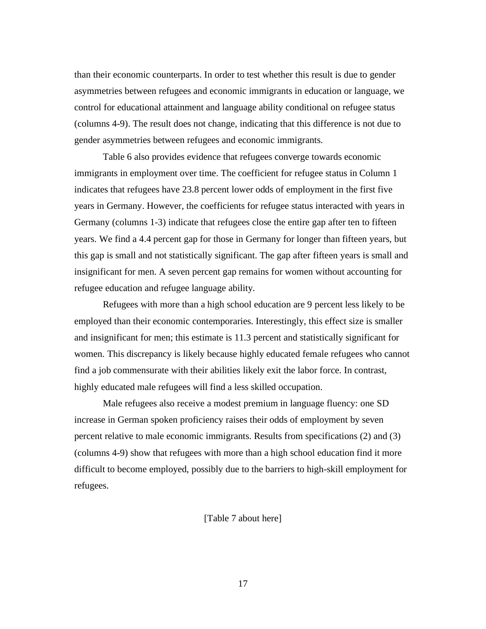than their economic counterparts. In order to test whether this result is due to gender asymmetries between refugees and economic immigrants in education or language, we control for educational attainment and language ability conditional on refugee status (columns 4-9). The result does not change, indicating that this difference is not due to gender asymmetries between refugees and economic immigrants.

Table 6 also provides evidence that refugees converge towards economic immigrants in employment over time. The coefficient for refugee status in Column 1 indicates that refugees have 23.8 percent lower odds of employment in the first five years in Germany. However, the coefficients for refugee status interacted with years in Germany (columns 1-3) indicate that refugees close the entire gap after ten to fifteen years. We find a 4.4 percent gap for those in Germany for longer than fifteen years, but this gap is small and not statistically significant. The gap after fifteen years is small and insignificant for men. A seven percent gap remains for women without accounting for refugee education and refugee language ability.

Refugees with more than a high school education are 9 percent less likely to be employed than their economic contemporaries. Interestingly, this effect size is smaller and insignificant for men; this estimate is 11.3 percent and statistically significant for women. This discrepancy is likely because highly educated female refugees who cannot find a job commensurate with their abilities likely exit the labor force. In contrast, highly educated male refugees will find a less skilled occupation.

Male refugees also receive a modest premium in language fluency: one SD increase in German spoken proficiency raises their odds of employment by seven percent relative to male economic immigrants. Results from specifications (2) and (3) (columns 4-9) show that refugees with more than a high school education find it more difficult to become employed, possibly due to the barriers to high-skill employment for refugees.

[Table 7 about here]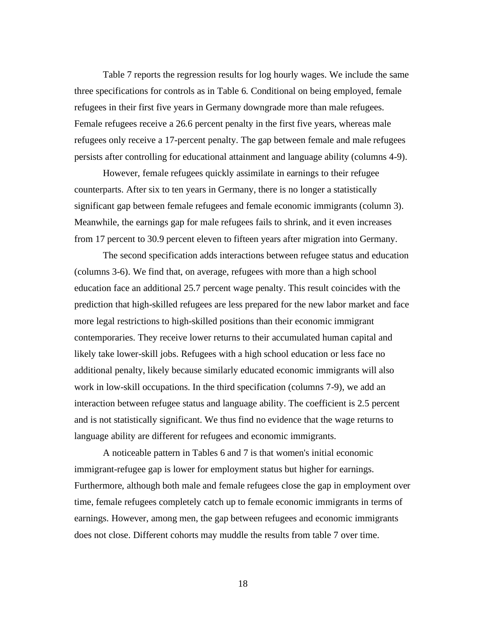Table 7 reports the regression results for log hourly wages. We include the same three specifications for controls as in Table 6. Conditional on being employed, female refugees in their first five years in Germany downgrade more than male refugees. Female refugees receive a 26.6 percent penalty in the first five years, whereas male refugees only receive a 17-percent penalty. The gap between female and male refugees persists after controlling for educational attainment and language ability (columns 4-9).

However, female refugees quickly assimilate in earnings to their refugee counterparts. After six to ten years in Germany, there is no longer a statistically significant gap between female refugees and female economic immigrants (column 3). Meanwhile, the earnings gap for male refugees fails to shrink, and it even increases from 17 percent to 30.9 percent eleven to fifteen years after migration into Germany.

The second specification adds interactions between refugee status and education (columns 3-6). We find that, on average, refugees with more than a high school education face an additional 25.7 percent wage penalty. This result coincides with the prediction that high-skilled refugees are less prepared for the new labor market and face more legal restrictions to high-skilled positions than their economic immigrant contemporaries. They receive lower returns to their accumulated human capital and likely take lower-skill jobs. Refugees with a high school education or less face no additional penalty, likely because similarly educated economic immigrants will also work in low-skill occupations. In the third specification (columns 7-9), we add an interaction between refugee status and language ability. The coefficient is 2.5 percent and is not statistically significant. We thus find no evidence that the wage returns to language ability are different for refugees and economic immigrants.

A noticeable pattern in Tables 6 and 7 is that women's initial economic immigrant-refugee gap is lower for employment status but higher for earnings. Furthermore, although both male and female refugees close the gap in employment over time, female refugees completely catch up to female economic immigrants in terms of earnings. However, among men, the gap between refugees and economic immigrants does not close. Different cohorts may muddle the results from table 7 over time.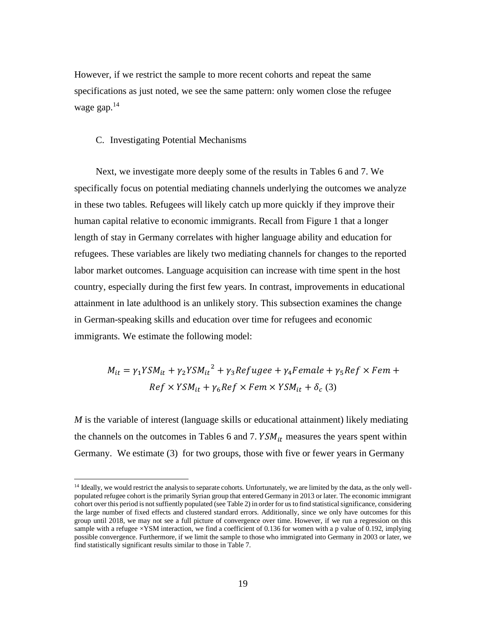However, if we restrict the sample to more recent cohorts and repeat the same specifications as just noted, we see the same pattern: only women close the refugee wage gap.<sup>14</sup>

#### C. Investigating Potential Mechanisms

Next, we investigate more deeply some of the results in Tables 6 and 7. We specifically focus on potential mediating channels underlying the outcomes we analyze in these two tables. Refugees will likely catch up more quickly if they improve their human capital relative to economic immigrants. Recall from Figure 1 that a longer length of stay in Germany correlates with higher language ability and education for refugees. These variables are likely two mediating channels for changes to the reported labor market outcomes. Language acquisition can increase with time spent in the host country, especially during the first few years. In contrast, improvements in educational attainment in late adulthood is an unlikely story. This subsection examines the change in German-speaking skills and education over time for refugees and economic immigrants. We estimate the following model:

$$
M_{it} = \gamma_1 Y S M_{it} + \gamma_2 Y S M_{it}^2 + \gamma_3 Refugee + \gamma_4 Female + \gamma_5 Ref \times Fem +
$$
  
Ref  $\times Y S M_{it} + \gamma_6 Ref \times Fem \times Y S M_{it} + \delta_c$  (3)

*M* is the variable of interest (language skills or educational attainment) likely mediating the channels on the outcomes in Tables 6 and 7.  $YSM_{it}$  measures the years spent within Germany. We estimate (3) for two groups, those with five or fewer years in Germany

<sup>&</sup>lt;sup>14</sup> Ideally, we would restrict the analysis to separate cohorts. Unfortunately, we are limited by the data, as the only wellpopulated refugee cohort is the primarily Syrian group that entered Germany in 2013 or later. The economic immigrant cohort over this period is not suffiently populated (see Table 2) in order for us to find statistical significance, considering the large number of fixed effects and clustered standard errors. Additionally, since we only have outcomes for this group until 2018, we may not see a full picture of convergence over time. However, if we run a regression on this sample with a refugee  $\times$ YSM interaction, we find a coefficient of 0.136 for women with a p value of 0.192, implying possible convergence. Furthermore, if we limit the sample to those who immigrated into Germany in 2003 or later, we find statistically significant results similar to those in Table 7.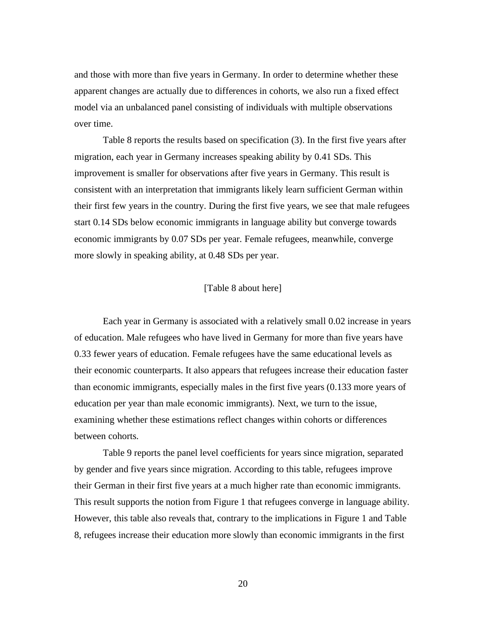and those with more than five years in Germany. In order to determine whether these apparent changes are actually due to differences in cohorts, we also run a fixed effect model via an unbalanced panel consisting of individuals with multiple observations over time.

Table 8 reports the results based on specification (3). In the first five years after migration, each year in Germany increases speaking ability by 0.41 SDs. This improvement is smaller for observations after five years in Germany. This result is consistent with an interpretation that immigrants likely learn sufficient German within their first few years in the country. During the first five years, we see that male refugees start 0.14 SDs below economic immigrants in language ability but converge towards economic immigrants by 0.07 SDs per year. Female refugees, meanwhile, converge more slowly in speaking ability, at 0.48 SDs per year.

#### [Table 8 about here]

Each year in Germany is associated with a relatively small 0.02 increase in years of education. Male refugees who have lived in Germany for more than five years have 0.33 fewer years of education. Female refugees have the same educational levels as their economic counterparts. It also appears that refugees increase their education faster than economic immigrants, especially males in the first five years (0.133 more years of education per year than male economic immigrants). Next, we turn to the issue, examining whether these estimations reflect changes within cohorts or differences between cohorts.

Table 9 reports the panel level coefficients for years since migration, separated by gender and five years since migration. According to this table, refugees improve their German in their first five years at a much higher rate than economic immigrants. This result supports the notion from Figure 1 that refugees converge in language ability. However, this table also reveals that, contrary to the implications in Figure 1 and Table 8, refugees increase their education more slowly than economic immigrants in the first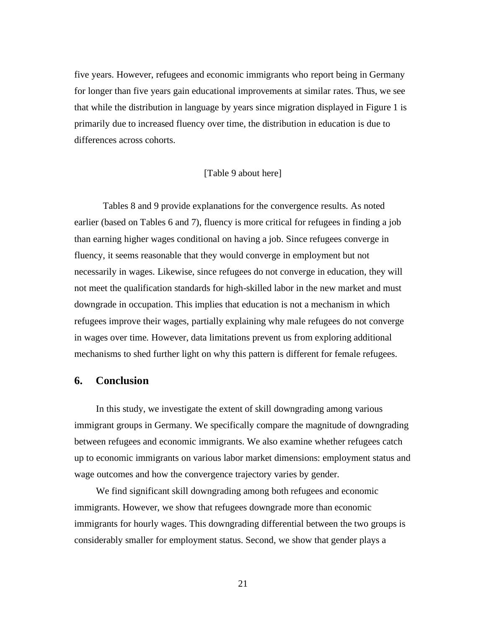five years. However, refugees and economic immigrants who report being in Germany for longer than five years gain educational improvements at similar rates. Thus, we see that while the distribution in language by years since migration displayed in Figure 1 is primarily due to increased fluency over time, the distribution in education is due to differences across cohorts.

#### [Table 9 about here]

Tables 8 and 9 provide explanations for the convergence results. As noted earlier (based on Tables 6 and 7), fluency is more critical for refugees in finding a job than earning higher wages conditional on having a job. Since refugees converge in fluency, it seems reasonable that they would converge in employment but not necessarily in wages. Likewise, since refugees do not converge in education, they will not meet the qualification standards for high-skilled labor in the new market and must downgrade in occupation. This implies that education is not a mechanism in which refugees improve their wages, partially explaining why male refugees do not converge in wages over time. However, data limitations prevent us from exploring additional mechanisms to shed further light on why this pattern is different for female refugees.

# **6. Conclusion**

In this study, we investigate the extent of skill downgrading among various immigrant groups in Germany. We specifically compare the magnitude of downgrading between refugees and economic immigrants. We also examine whether refugees catch up to economic immigrants on various labor market dimensions: employment status and wage outcomes and how the convergence trajectory varies by gender.

We find significant skill downgrading among both refugees and economic immigrants. However, we show that refugees downgrade more than economic immigrants for hourly wages. This downgrading differential between the two groups is considerably smaller for employment status. Second, we show that gender plays a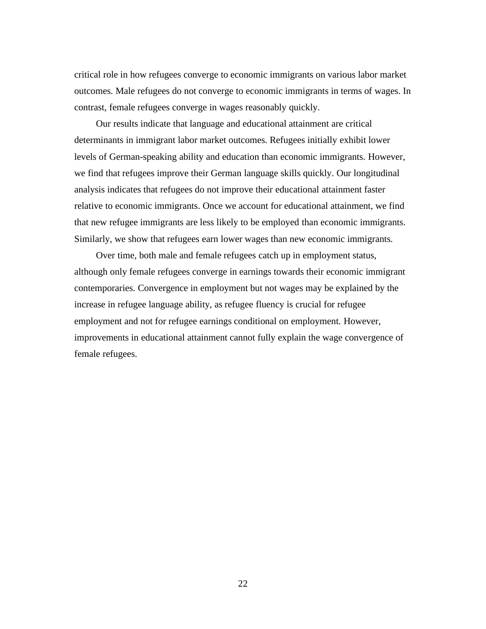critical role in how refugees converge to economic immigrants on various labor market outcomes. Male refugees do not converge to economic immigrants in terms of wages. In contrast, female refugees converge in wages reasonably quickly.

Our results indicate that language and educational attainment are critical determinants in immigrant labor market outcomes. Refugees initially exhibit lower levels of German-speaking ability and education than economic immigrants. However, we find that refugees improve their German language skills quickly. Our longitudinal analysis indicates that refugees do not improve their educational attainment faster relative to economic immigrants. Once we account for educational attainment, we find that new refugee immigrants are less likely to be employed than economic immigrants. Similarly, we show that refugees earn lower wages than new economic immigrants.

Over time, both male and female refugees catch up in employment status, although only female refugees converge in earnings towards their economic immigrant contemporaries. Convergence in employment but not wages may be explained by the increase in refugee language ability, as refugee fluency is crucial for refugee employment and not for refugee earnings conditional on employment. However, improvements in educational attainment cannot fully explain the wage convergence of female refugees.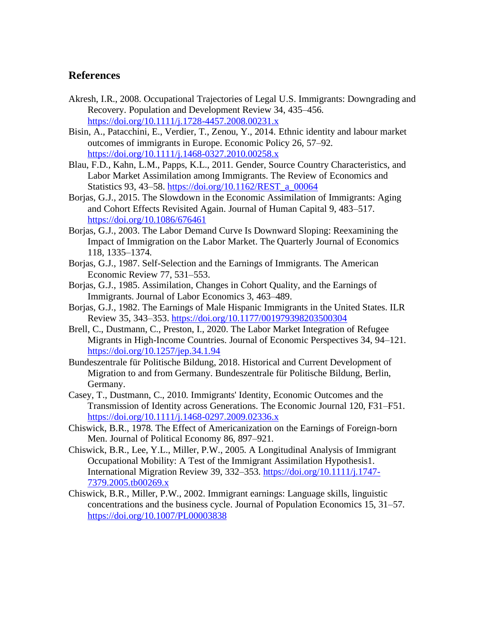# **References**

- Akresh, I.R., 2008. Occupational Trajectories of Legal U.S. Immigrants: Downgrading and Recovery. Population and Development Review 34, 435–456. <https://doi.org/10.1111/j.1728-4457.2008.00231.x>
- Bisin, A., Patacchini, E., Verdier, T., Zenou, Y., 2014. Ethnic identity and labour market outcomes of immigrants in Europe. Economic Policy 26, 57–92. <https://doi.org/10.1111/j.1468-0327.2010.00258.x>
- Blau, F.D., Kahn, L.M., Papps, K.L., 2011. Gender, Source Country Characteristics, and Labor Market Assimilation among Immigrants. The Review of Economics and Statistics 93, 43–58[. https://doi.org/10.1162/REST\\_a\\_00064](https://doi.org/10.1162/REST_a_00064)
- Borjas, G.J., 2015. The Slowdown in the Economic Assimilation of Immigrants: Aging and Cohort Effects Revisited Again. Journal of Human Capital 9, 483–517. <https://doi.org/10.1086/676461>
- Borjas, G.J., 2003. The Labor Demand Curve Is Downward Sloping: Reexamining the Impact of Immigration on the Labor Market. The Quarterly Journal of Economics 118, 1335–1374.
- Borjas, G.J., 1987. Self-Selection and the Earnings of Immigrants. The American Economic Review 77, 531–553.
- Borjas, G.J., 1985. Assimilation, Changes in Cohort Quality, and the Earnings of Immigrants. Journal of Labor Economics 3, 463–489.
- Borjas, G.J., 1982. The Earnings of Male Hispanic Immigrants in the United States. ILR Review 35, 343–353.<https://doi.org/10.1177/001979398203500304>
- Brell, C., Dustmann, C., Preston, I., 2020. The Labor Market Integration of Refugee Migrants in High-Income Countries. Journal of Economic Perspectives 34, 94–121. <https://doi.org/10.1257/jep.34.1.94>
- Bundeszentrale für Politische Bildung, 2018. Historical and Current Development of Migration to and from Germany. Bundeszentrale für Politische Bildung, Berlin, Germany.
- Casey, T., Dustmann, C., 2010. Immigrants' Identity, Economic Outcomes and the Transmission of Identity across Generations. The Economic Journal 120, F31–F51. <https://doi.org/10.1111/j.1468-0297.2009.02336.x>
- Chiswick, B.R., 1978. The Effect of Americanization on the Earnings of Foreign-born Men. Journal of Political Economy 86, 897–921.
- Chiswick, B.R., Lee, Y.L., Miller, P.W., 2005. A Longitudinal Analysis of Immigrant Occupational Mobility: A Test of the Immigrant Assimilation Hypothesis1. International Migration Review 39, 332–353. [https://doi.org/10.1111/j.1747-](https://doi.org/10.1111/j.1747-7379.2005.tb00269.x) [7379.2005.tb00269.x](https://doi.org/10.1111/j.1747-7379.2005.tb00269.x)
- Chiswick, B.R., Miller, P.W., 2002. Immigrant earnings: Language skills, linguistic concentrations and the business cycle. Journal of Population Economics 15, 31–57. <https://doi.org/10.1007/PL00003838>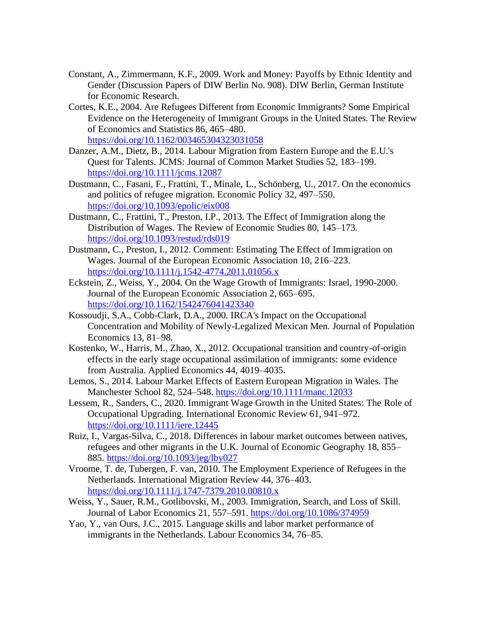- Constant, A., Zimmermann, K.F., 2009. Work and Money: Payoffs by Ethnic Identity and Gender (Discussion Papers of DIW Berlin No. 908). DIW Berlin, German Institute for Economic Research.
- Cortes, K.E., 2004. Are Refugees Different from Economic Immigrants? Some Empirical Evidence on the Heterogeneity of Immigrant Groups in the United States. The Review of Economics and Statistics 86, 465–480. <https://doi.org/10.1162/003465304323031058>
- Danzer, A.M., Dietz, B., 2014. Labour Migration from Eastern Europe and the E.U.'s Quest for Talents. JCMS: Journal of Common Market Studies 52, 183–199. <https://doi.org/10.1111/jcms.12087>
- Dustmann, C., Fasani, F., Frattini, T., Minale, L., Schönberg, U., 2017. On the economics and politics of refugee migration. Economic Policy 32, 497–550. <https://doi.org/10.1093/epolic/eix008>
- Dustmann, C., Frattini, T., Preston, I.P., 2013. The Effect of Immigration along the Distribution of Wages. The Review of Economic Studies 80, 145–173. <https://doi.org/10.1093/restud/rds019>
- Dustmann, C., Preston, I., 2012. Comment: Estimating The Effect of Immigration on Wages. Journal of the European Economic Association 10, 216–223. <https://doi.org/10.1111/j.1542-4774.2011.01056.x>
- Eckstein, Z., Weiss, Y., 2004. On the Wage Growth of Immigrants: Israel, 1990-2000. Journal of the European Economic Association 2, 665–695. <https://doi.org/10.1162/1542476041423340>
- Kossoudji, S.A., Cobb-Clark, D.A., 2000. IRCA's Impact on the Occupational Concentration and Mobility of Newly-Legalized Mexican Men. Journal of Population Economics 13, 81–98.
- Kostenko, W., Harris, M., Zhao, X., 2012. Occupational transition and country-of-origin effects in the early stage occupational assimilation of immigrants: some evidence from Australia. Applied Economics 44, 4019–4035.
- Lemos, S., 2014. Labour Market Effects of Eastern European Migration in Wales. The Manchester School 82, 524–548[. https://doi.org/10.1111/manc.12033](https://doi.org/10.1111/manc.12033)
- Lessem, R., Sanders, C., 2020. Immigrant Wage Growth in the United States: The Role of Occupational Upgrading. International Economic Review 61, 941–972. <https://doi.org/10.1111/iere.12445>
- Ruiz, I., Vargas-Silva, C., 2018. Differences in labour market outcomes between natives, refugees and other migrants in the U.K. Journal of Economic Geography 18, 855– 885.<https://doi.org/10.1093/jeg/lby027>
- Vroome, T. de, Tubergen, F. van, 2010. The Employment Experience of Refugees in the Netherlands. International Migration Review 44, 376–403. <https://doi.org/10.1111/j.1747-7379.2010.00810.x>
- Weiss, Y., Sauer, R.M., Gotlibovski, M., 2003. Immigration, Search, and Loss of Skill. Journal of Labor Economics 21, 557–591.<https://doi.org/10.1086/374959>
- Yao, Y., van Ours, J.C., 2015. Language skills and labor market performance of immigrants in the Netherlands. Labour Economics 34, 76–85.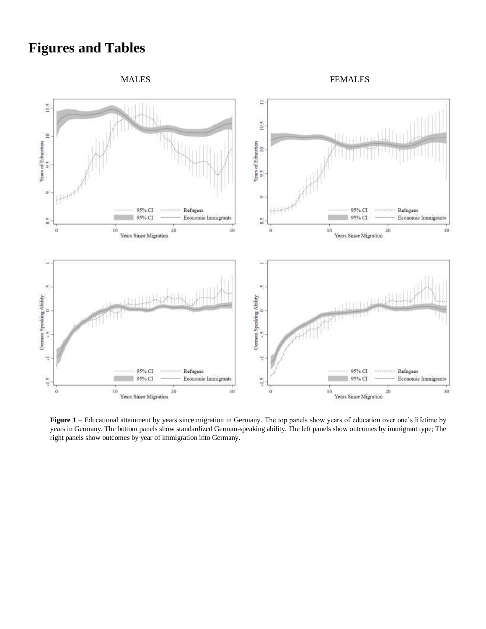# **Figures and Tables**

MALES FEMALES



**Figure 1** – Educational attainment by years since migration in Germany. The top panels show years of education over one's lifetime by years in Germany. The bottom panels show standardized German-speaking ability. The left panels show outcomes by immigrant type; The right panels show outcomes by year of immigration into Germany.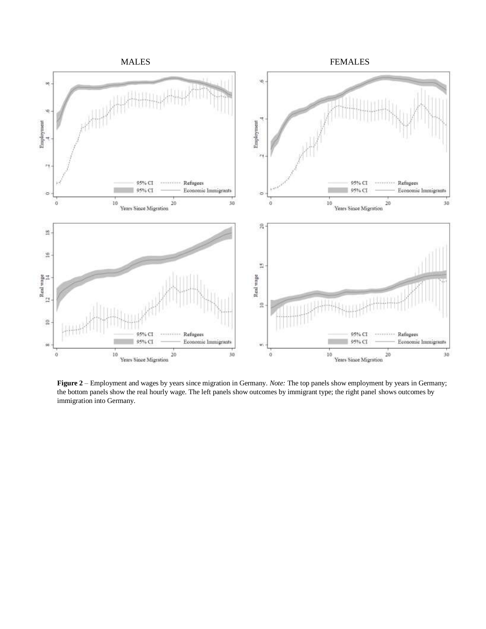

**Figure 2** – Employment and wages by years since migration in Germany. *Note:* The top panels show employment by years in Germany; the bottom panels show the real hourly wage. The left panels show outcomes by immigrant type; the right panel shows outcomes by immigration into Germany.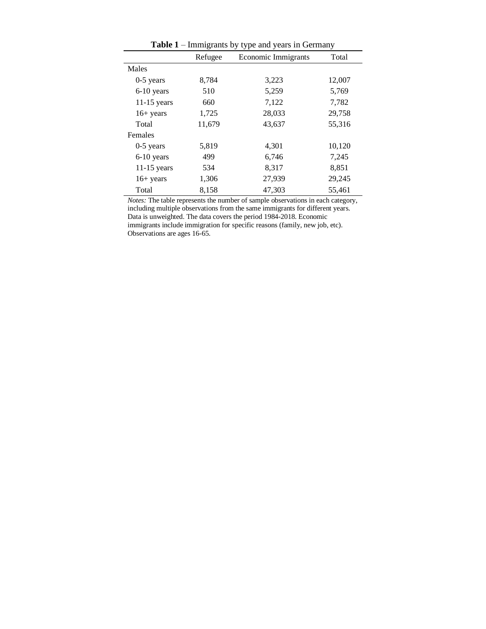| <b>Table 1</b> – Infinite and $\mathbf{y}$ type and years in Octobary |         |                            |        |  |  |  |  |  |
|-----------------------------------------------------------------------|---------|----------------------------|--------|--|--|--|--|--|
|                                                                       | Refugee | <b>Economic Immigrants</b> | Total  |  |  |  |  |  |
| Males                                                                 |         |                            |        |  |  |  |  |  |
| $0-5$ years                                                           | 8,784   | 3,223                      | 12,007 |  |  |  |  |  |
| 6-10 years                                                            | 510     | 5,259                      | 5,769  |  |  |  |  |  |
| $11-15$ years                                                         | 660     | 7,122                      | 7,782  |  |  |  |  |  |
| $16+$ years                                                           | 1,725   | 28,033                     | 29,758 |  |  |  |  |  |
| Total                                                                 | 11,679  | 43,637                     | 55,316 |  |  |  |  |  |
| Females                                                               |         |                            |        |  |  |  |  |  |
| $0-5$ years                                                           | 5,819   | 4,301                      | 10,120 |  |  |  |  |  |
| 6-10 years                                                            | 499     | 6,746                      | 7,245  |  |  |  |  |  |
| $11-15$ years                                                         | 534     | 8,317                      | 8,851  |  |  |  |  |  |
| $16+$ years                                                           | 1,306   | 27,939                     | 29,245 |  |  |  |  |  |
| Total                                                                 | 8,158   | 47,303                     | 55,461 |  |  |  |  |  |

**Table 1** – Immigrants by type and years in Germany

*Notes:* The table represents the number of sample observations in each category, including multiple observations from the same immigrants for different years. Data is unweighted. The data covers the period 1984-2018. Economic immigrants include immigration for specific reasons (family, new job, etc). Observations are ages 16-65.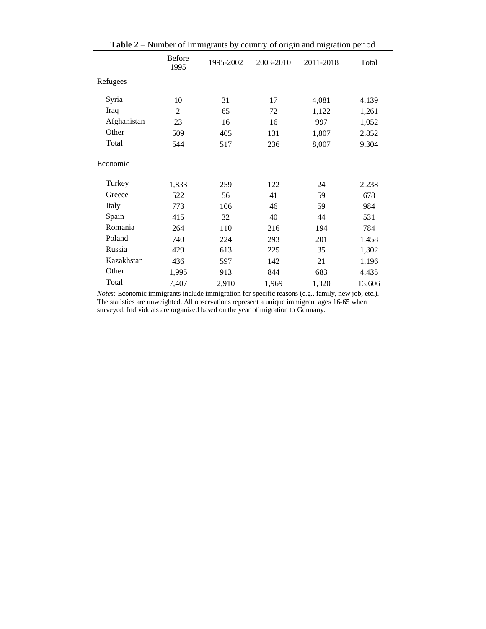| ramoer of miningrams by country or origin and imgration period |                       |           |           |           |        |  |  |  |
|----------------------------------------------------------------|-----------------------|-----------|-----------|-----------|--------|--|--|--|
|                                                                | <b>Before</b><br>1995 | 1995-2002 | 2003-2010 | 2011-2018 | Total  |  |  |  |
| Refugees                                                       |                       |           |           |           |        |  |  |  |
| Syria                                                          | 10                    | 31        | 17        | 4,081     | 4,139  |  |  |  |
| Iraq                                                           | $\overline{2}$        | 65        | 72        | 1,122     | 1,261  |  |  |  |
| Afghanistan                                                    | 23                    | 16        | 16        | 997       | 1,052  |  |  |  |
| Other                                                          | 509                   | 405       | 131       | 1,807     | 2,852  |  |  |  |
| Total                                                          | 544                   | 517       | 236       | 8,007     | 9,304  |  |  |  |
| Economic                                                       |                       |           |           |           |        |  |  |  |
| Turkey                                                         | 1,833                 | 259       | 122       | 24        | 2,238  |  |  |  |
| Greece                                                         | 522                   | 56        | 41        | 59        | 678    |  |  |  |
| Italy                                                          | 773                   | 106       | 46        | 59        | 984    |  |  |  |
| Spain                                                          | 415                   | 32        | 40        | 44        | 531    |  |  |  |
| Romania                                                        | 264                   | 110       | 216       | 194       | 784    |  |  |  |
| Poland                                                         | 740                   | 224       | 293       | 201       | 1,458  |  |  |  |
| Russia                                                         | 429                   | 613       | 225       | 35        | 1,302  |  |  |  |
| Kazakhstan                                                     | 436                   | 597       | 142       | 21        | 1,196  |  |  |  |
| Other                                                          | 1,995                 | 913       | 844       | 683       | 4,435  |  |  |  |
| Total                                                          | 7,407                 | 2,910     | 1,969     | 1,320     | 13,606 |  |  |  |

**Table 2** – Number of Immigrants by country of origin and migration period

*Notes:* Economic immigrants include immigration for specific reasons (e.g., family, new job, etc.). The statistics are unweighted. All observations represent a unique immigrant ages 16-65 when surveyed. Individuals are organized based on the year of migration to Germany.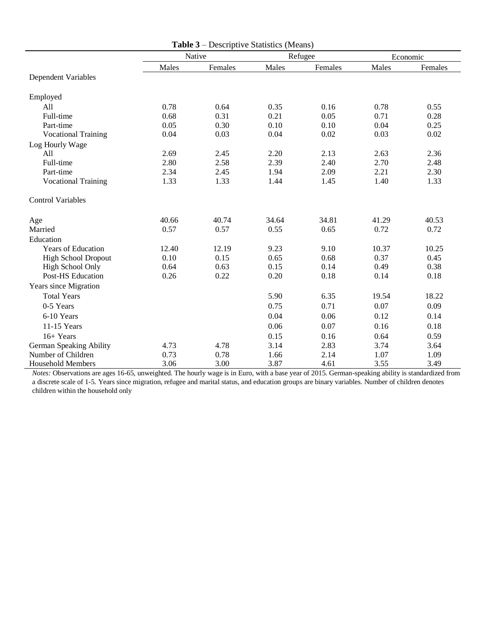|                            |       | <b>Table 3</b> – Descriptive Statistics (Means) |       |         |          |         |
|----------------------------|-------|-------------------------------------------------|-------|---------|----------|---------|
|                            |       | Native                                          |       | Refugee | Economic |         |
|                            | Males | Females                                         | Males | Females | Males    | Females |
| Dependent Variables        |       |                                                 |       |         |          |         |
| Employed                   |       |                                                 |       |         |          |         |
| All                        | 0.78  | 0.64                                            | 0.35  | 0.16    | 0.78     | 0.55    |
| Full-time                  | 0.68  | 0.31                                            | 0.21  | 0.05    | 0.71     | 0.28    |
| Part-time                  | 0.05  | 0.30                                            | 0.10  | 0.10    | 0.04     | 0.25    |
| <b>Vocational Training</b> | 0.04  | 0.03                                            | 0.04  | 0.02    | 0.03     | 0.02    |
| Log Hourly Wage            |       |                                                 |       |         |          |         |
| All                        | 2.69  | 2.45                                            | 2.20  | 2.13    | 2.63     | 2.36    |
| Full-time                  | 2.80  | 2.58                                            | 2.39  | 2.40    | 2.70     | 2.48    |
| Part-time                  | 2.34  | 2.45                                            | 1.94  | 2.09    | 2.21     | 2.30    |
| <b>Vocational Training</b> | 1.33  | 1.33                                            | 1.44  | 1.45    | 1.40     | 1.33    |
| <b>Control Variables</b>   |       |                                                 |       |         |          |         |
| Age                        | 40.66 | 40.74                                           | 34.64 | 34.81   | 41.29    | 40.53   |
| Married                    | 0.57  | 0.57                                            | 0.55  | 0.65    | 0.72     | 0.72    |
| Education                  |       |                                                 |       |         |          |         |
| <b>Years of Education</b>  | 12.40 | 12.19                                           | 9.23  | 9.10    | 10.37    | 10.25   |
| <b>High School Dropout</b> | 0.10  | 0.15                                            | 0.65  | 0.68    | 0.37     | 0.45    |
| High School Only           | 0.64  | 0.63                                            | 0.15  | 0.14    | 0.49     | 0.38    |
| <b>Post-HS Education</b>   | 0.26  | 0.22                                            | 0.20  | 0.18    | 0.14     | 0.18    |
| Years since Migration      |       |                                                 |       |         |          |         |
| <b>Total Years</b>         |       |                                                 | 5.90  | 6.35    | 19.54    | 18.22   |
| 0-5 Years                  |       |                                                 | 0.75  | 0.71    | 0.07     | 0.09    |
| 6-10 Years                 |       |                                                 | 0.04  | 0.06    | 0.12     | 0.14    |
| 11-15 Years                |       |                                                 | 0.06  | 0.07    | 0.16     | 0.18    |
| 16+ Years                  |       |                                                 | 0.15  | 0.16    | 0.64     | 0.59    |
| German Speaking Ability    | 4.73  | 4.78                                            | 3.14  | 2.83    | 3.74     | 3.64    |
| Number of Children         | 0.73  | 0.78                                            | 1.66  | 2.14    | 1.07     | 1.09    |
| <b>Household Members</b>   | 3.06  | 3.00                                            | 3.87  | 4.61    | 3.55     | 3.49    |

*Notes:* Observations are ages 16-65, unweighted. The hourly wage is in Euro, with a base year of 2015. German-speaking ability is standardized from a discrete scale of 1-5. Years since migration, refugee and marital status, and education groups are binary variables. Number of children denotes children within the household only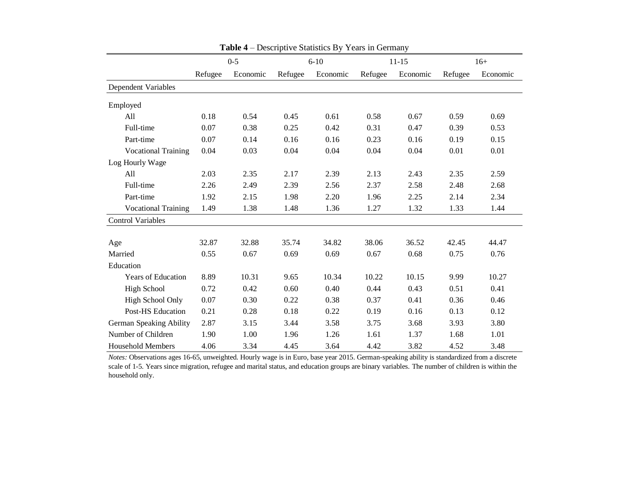|                            | $0 - 5$ |          | $6 - 10$ |          |         | $11 - 15$ | $16+$   |          |
|----------------------------|---------|----------|----------|----------|---------|-----------|---------|----------|
|                            | Refugee | Economic | Refugee  | Economic | Refugee | Economic  | Refugee | Economic |
| <b>Dependent Variables</b> |         |          |          |          |         |           |         |          |
| Employed                   |         |          |          |          |         |           |         |          |
| All                        | 0.18    | 0.54     | 0.45     | 0.61     | 0.58    | 0.67      | 0.59    | 0.69     |
| Full-time                  | 0.07    | 0.38     | 0.25     | 0.42     | 0.31    | 0.47      | 0.39    | 0.53     |
| Part-time                  | 0.07    | 0.14     | 0.16     | 0.16     | 0.23    | 0.16      | 0.19    | 0.15     |
| <b>Vocational Training</b> | 0.04    | 0.03     | 0.04     | 0.04     | 0.04    | 0.04      | 0.01    | 0.01     |
| Log Hourly Wage            |         |          |          |          |         |           |         |          |
| All                        | 2.03    | 2.35     | 2.17     | 2.39     | 2.13    | 2.43      | 2.35    | 2.59     |
| Full-time                  | 2.26    | 2.49     | 2.39     | 2.56     | 2.37    | 2.58      | 2.48    | 2.68     |
| Part-time                  | 1.92    | 2.15     | 1.98     | 2.20     | 1.96    | 2.25      | 2.14    | 2.34     |
| <b>Vocational Training</b> | 1.49    | 1.38     | 1.48     | 1.36     | 1.27    | 1.32      | 1.33    | 1.44     |
| <b>Control Variables</b>   |         |          |          |          |         |           |         |          |
|                            |         |          |          |          |         |           |         |          |
| Age                        | 32.87   | 32.88    | 35.74    | 34.82    | 38.06   | 36.52     | 42.45   | 44.47    |
| Married                    | 0.55    | 0.67     | 0.69     | 0.69     | 0.67    | 0.68      | 0.75    | 0.76     |
| Education                  |         |          |          |          |         |           |         |          |
| <b>Years of Education</b>  | 8.89    | 10.31    | 9.65     | 10.34    | 10.22   | 10.15     | 9.99    | 10.27    |
| <b>High School</b>         | 0.72    | 0.42     | 0.60     | 0.40     | 0.44    | 0.43      | 0.51    | 0.41     |
| High School Only           | 0.07    | 0.30     | 0.22     | 0.38     | 0.37    | 0.41      | 0.36    | 0.46     |
| <b>Post-HS Education</b>   | 0.21    | 0.28     | 0.18     | 0.22     | 0.19    | 0.16      | 0.13    | 0.12     |
| German Speaking Ability    | 2.87    | 3.15     | 3.44     | 3.58     | 3.75    | 3.68      | 3.93    | 3.80     |
| Number of Children         | 1.90    | 1.00     | 1.96     | 1.26     | 1.61    | 1.37      | 1.68    | 1.01     |
| <b>Household Members</b>   | 4.06    | 3.34     | 4.45     | 3.64     | 4.42    | 3.82      | 4.52    | 3.48     |

**Table 4** – Descriptive Statistics By Years in Germany

*Notes:* Observations ages 16-65, unweighted. Hourly wage is in Euro, base year 2015. German-speaking ability is standardized from a discrete scale of 1-5. Years since migration, refugee and marital status, and education groups are binary variables. The number of children is within the household only.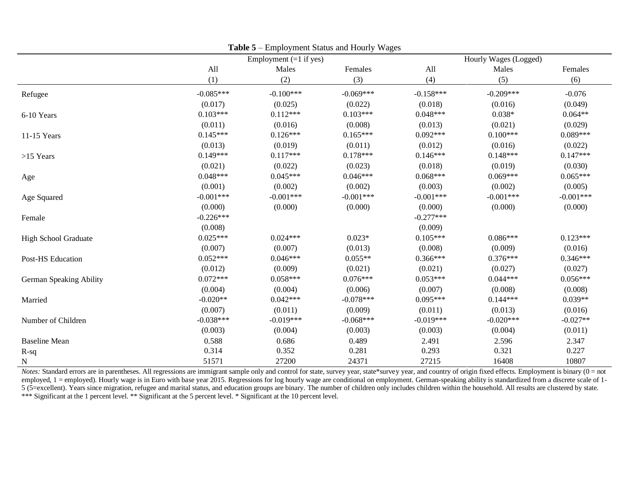|                         | $10010 \nu$ | Employment $(=1$ if yes) | Employment buttes and Hourly Wages |             | Hourly Wages (Logged) |             |  |
|-------------------------|-------------|--------------------------|------------------------------------|-------------|-----------------------|-------------|--|
|                         | All         | Males                    | Females                            | All         | Males                 | Females     |  |
|                         | (1)         | (2)                      | (3)                                | (4)         | (5)                   | (6)         |  |
| Refugee                 | $-0.085***$ | $-0.100***$              | $-0.069***$                        | $-0.158***$ | $-0.209***$           | $-0.076$    |  |
|                         | (0.017)     | (0.025)                  | (0.022)                            | (0.018)     | (0.016)               | (0.049)     |  |
| 6-10 Years              | $0.103***$  | $0.112***$               | $0.103***$                         | $0.048***$  | $0.038*$              | $0.064**$   |  |
|                         | (0.011)     | (0.016)                  | (0.008)                            | (0.013)     | (0.021)               | (0.029)     |  |
| 11-15 Years             | $0.145***$  | $0.126***$               | $0.165***$                         | $0.092***$  | $0.100***$            | $0.089***$  |  |
|                         | (0.013)     | (0.019)                  | (0.011)                            | (0.012)     | (0.016)               | (0.022)     |  |
| $>15$ Years             | $0.149***$  | $0.117***$               | $0.178***$                         | $0.146***$  | $0.148***$            | $0.147***$  |  |
|                         | (0.021)     | (0.022)                  | (0.023)                            | (0.018)     | (0.019)               | (0.030)     |  |
| Age                     | $0.048***$  | $0.045***$               | $0.046***$                         | $0.068***$  | $0.069***$            | $0.065***$  |  |
|                         | (0.001)     | (0.002)                  | (0.002)                            | (0.003)     | (0.002)               | (0.005)     |  |
| Age Squared             | $-0.001***$ | $-0.001***$              | $-0.001***$                        | $-0.001***$ | $-0.001***$           | $-0.001***$ |  |
|                         | (0.000)     | (0.000)                  | (0.000)                            | (0.000)     | (0.000)               | (0.000)     |  |
| Female                  | $-0.226***$ |                          |                                    | $-0.277***$ |                       |             |  |
|                         | (0.008)     |                          |                                    | (0.009)     |                       |             |  |
| High School Graduate    | $0.025***$  | $0.024***$               | $0.023*$                           | $0.105***$  | $0.086***$            | $0.123***$  |  |
|                         | (0.007)     | (0.007)                  | (0.013)                            | (0.008)     | (0.009)               | (0.016)     |  |
| Post-HS Education       | $0.052***$  | $0.046***$               | $0.055**$                          | $0.366***$  | $0.376***$            | $0.346***$  |  |
|                         | (0.012)     | (0.009)                  | (0.021)                            | (0.021)     | (0.027)               | (0.027)     |  |
| German Speaking Ability | $0.072***$  | $0.058***$               | $0.076***$                         | $0.053***$  | $0.044***$            | $0.056***$  |  |
|                         | (0.004)     | (0.004)                  | (0.006)                            | (0.007)     | (0.008)               | (0.008)     |  |
| Married                 | $-0.020**$  | $0.042***$               | $-0.078***$                        | $0.095***$  | $0.144***$            | $0.039**$   |  |
|                         | (0.007)     | (0.011)                  | (0.009)                            | (0.011)     | (0.013)               | (0.016)     |  |
| Number of Children      | $-0.038***$ | $-0.019***$              | $-0.068***$                        | $-0.019***$ | $-0.020***$           | $-0.027**$  |  |
|                         | (0.003)     | (0.004)                  | (0.003)                            | (0.003)     | (0.004)               | (0.011)     |  |
| <b>Baseline Mean</b>    | 0.588       | 0.686                    | 0.489                              | 2.491       | 2.596                 | 2.347       |  |
| $R-sq$                  | 0.314       | 0.352                    | 0.281                              | 0.293       | 0.321                 | 0.227       |  |
| N                       | 51571       | 27200                    | 24371                              | 27215       | 16408                 | 10807       |  |

**Table 5** – Employment Status and Hourly Wages

*Notes*: Standard errors are in parentheses. All regressions are immigrant sample only and control for state, survey year, state\*survey year, and country of origin fixed effects. Employment is binary (0 = not employed, 1 = employed). Hourly wage is in Euro with base year 2015. Regressions for log hourly wage are conditional on employment. German-speaking ability is standardized from a discrete scale of 1-5 (5=excellent). Years since migration, refugee and marital status, and education groups are binary. The number of children only includes children within the household. All results are clustered by state. \*\*\* Significant at the 1 percent level. \*\* Significant at the 5 percent level. \* Significant at the 10 percent level.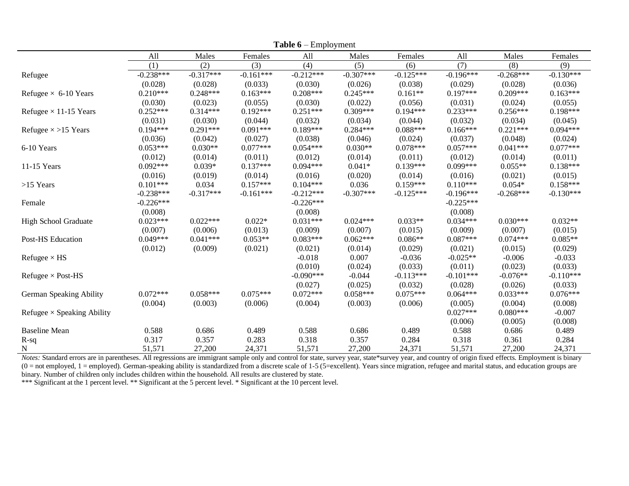|                                   |             |             |             | <b>Lavie <math>\mathbf{v}</math></b> – Employment |             |             |             |             |             |
|-----------------------------------|-------------|-------------|-------------|---------------------------------------------------|-------------|-------------|-------------|-------------|-------------|
|                                   | All         | Males       | Females     | All                                               | Males       | Females     | All         | Males       | Females     |
|                                   | (1)         | (2)         | (3)         | (4)                                               | (5)         | (6)         | (7)         | (8)         | (9)         |
| Refugee                           | $-0.238***$ | $-0.317***$ | $-0.161***$ | $-0.212***$                                       | $-0.307***$ | $-0.125***$ | $-0.196***$ | $-0.268***$ | $-0.130***$ |
|                                   | (0.028)     | (0.028)     | (0.033)     | (0.030)                                           | (0.026)     | (0.038)     | (0.029)     | (0.028)     | (0.036)     |
| Refugee $\times$ 6-10 Years       | $0.210***$  | $0.248***$  | $0.163***$  | $0.208***$                                        | $0.245***$  | $0.161**$   | $0.197***$  | $0.209***$  | $0.163***$  |
|                                   | (0.030)     | (0.023)     | (0.055)     | (0.030)                                           | (0.022)     | (0.056)     | (0.031)     | (0.024)     | (0.055)     |
| Refugee $\times$ 11-15 Years      | $0.252***$  | $0.314***$  | $0.192***$  | $0.251***$                                        | $0.309***$  | $0.194***$  | $0.233***$  | $0.256***$  | $0.198***$  |
|                                   | (0.031)     | (0.030)     | (0.044)     | (0.032)                                           | (0.034)     | (0.044)     | (0.032)     | (0.034)     | (0.045)     |
| Refugee $\times$ >15 Years        | $0.194***$  | $0.291***$  | $0.091***$  | $0.189***$                                        | $0.284***$  | $0.088***$  | $0.166***$  | $0.221***$  | $0.094***$  |
|                                   | (0.036)     | (0.042)     | (0.027)     | (0.038)                                           | (0.046)     | (0.024)     | (0.037)     | (0.048)     | (0.024)     |
| 6-10 Years                        | $0.053***$  | $0.030**$   | $0.077***$  | $0.054***$                                        | $0.030**$   | $0.078***$  | $0.057***$  | $0.041***$  | $0.077***$  |
|                                   | (0.012)     | (0.014)     | (0.011)     | (0.012)                                           | (0.014)     | (0.011)     | (0.012)     | (0.014)     | (0.011)     |
| 11-15 Years                       | $0.092***$  | $0.039*$    | $0.137***$  | $0.094***$                                        | $0.041*$    | $0.139***$  | $0.099***$  | $0.055**$   | $0.138***$  |
|                                   | (0.016)     | (0.019)     | (0.014)     | (0.016)                                           | (0.020)     | (0.014)     | (0.016)     | (0.021)     | (0.015)     |
| $>15$ Years                       | $0.101***$  | 0.034       | $0.157***$  | $0.104***$                                        | 0.036       | $0.159***$  | $0.110***$  | $0.054*$    | $0.158***$  |
|                                   | $-0.238***$ | $-0.317***$ | $-0.161***$ | $-0.212***$                                       | $-0.307***$ | $-0.125***$ | $-0.196***$ | $-0.268***$ | $-0.130***$ |
| Female                            | $-0.226***$ |             |             | $-0.226***$                                       |             |             | $-0.225***$ |             |             |
|                                   | (0.008)     |             |             | (0.008)                                           |             |             | (0.008)     |             |             |
| High School Graduate              | $0.023***$  | $0.022***$  | $0.022*$    | $0.031***$                                        | $0.024***$  | $0.033**$   | $0.034***$  | $0.030***$  | $0.032**$   |
|                                   | (0.007)     | (0.006)     | (0.013)     | (0.009)                                           | (0.007)     | (0.015)     | (0.009)     | (0.007)     | (0.015)     |
| Post-HS Education                 | $0.049***$  | $0.041***$  | $0.053**$   | $0.083***$                                        | $0.062***$  | $0.086**$   | $0.087***$  | $0.074***$  | $0.085**$   |
|                                   | (0.012)     | (0.009)     | (0.021)     | (0.021)                                           | (0.014)     | (0.029)     | (0.021)     | (0.015)     | (0.029)     |
| Refugee $\times$ HS               |             |             |             | $-0.018$                                          | 0.007       | $-0.036$    | $-0.025**$  | $-0.006$    | $-0.033$    |
|                                   |             |             |             | (0.010)                                           | (0.024)     | (0.033)     | (0.011)     | (0.023)     | (0.033)     |
| Refugee $\times$ Post-HS          |             |             |             | $-0.090***$                                       | $-0.044$    | $-0.113***$ | $-0.101***$ | $-0.076**$  | $-0.110***$ |
|                                   |             |             |             | (0.027)                                           | (0.025)     | (0.032)     | (0.028)     | (0.026)     | (0.033)     |
| German Speaking Ability           | $0.072***$  | $0.058***$  | $0.075***$  | $0.072***$                                        | $0.058***$  | $0.075***$  | $0.064***$  | $0.033***$  | $0.076***$  |
|                                   | (0.004)     | (0.003)     | (0.006)     | (0.004)                                           | (0.003)     | (0.006)     | (0.005)     | (0.004)     | (0.008)     |
| Refugee $\times$ Speaking Ability |             |             |             |                                                   |             |             | $0.027***$  | $0.080***$  | $-0.007$    |
|                                   |             |             |             |                                                   |             |             | (0.006)     | (0.005)     | (0.008)     |
| <b>Baseline Mean</b>              | 0.588       | 0.686       | 0.489       | 0.588                                             | 0.686       | 0.489       | 0.588       | 0.686       | 0.489       |
| $R-sq$                            | 0.317       | 0.357       | 0.283       | 0.318                                             | 0.357       | 0.284       | 0.318       | 0.361       | 0.284       |
| ${\bf N}$                         | 51,571      | 27,200      | 24,371      | 51,571                                            | 27,200      | 24,371      | 51,571      | 27,200      | 24,371      |

**Table 6** – Employment

Notes: Standard errors are in parentheses. All regressions are immigrant sample only and control for state, survey year, state\*survey year, and country of origin fixed effects. Employment is binary (0 = not employed, 1 = employed). German-speaking ability is standardized from a discrete scale of 1-5 (5=excellent). Years since migration, refugee and marital status, and education groups are binary. Number of children only includes children within the household. All results are clustered by state.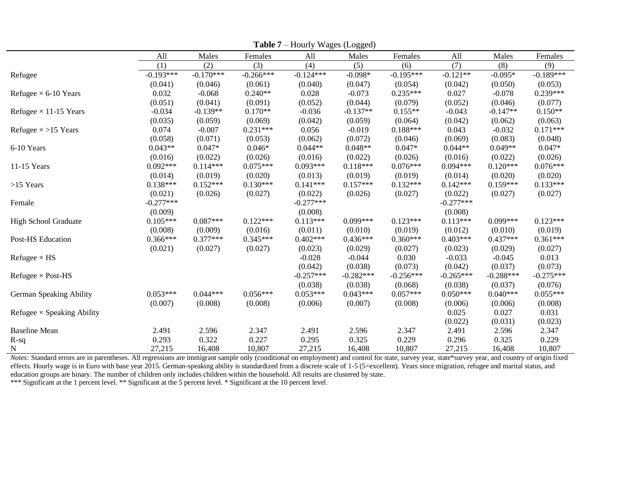|                                   | All         | Males       | Females     | All         | 00--7<br>Males | Females     | All         | Males       | Females     |
|-----------------------------------|-------------|-------------|-------------|-------------|----------------|-------------|-------------|-------------|-------------|
|                                   | (1)         | (2)         | (3)         | (4)         | (5)            | (6)         | (7)         | (8)         | (9)         |
| Refugee                           | $-0.193***$ | $-0.170***$ | $-0.266***$ | $-0.124***$ | $-0.098*$      | $-0.195***$ | $-0.121**$  | $-0.095*$   | $-0.189***$ |
|                                   | (0.041)     | (0.046)     | (0.061)     | (0.040)     | (0.047)        | (0.054)     | (0.042)     | (0.050)     | (0.053)     |
| Refugee $\times$ 6-10 Years       | 0.032       | $-0.068$    | $0.240**$   | 0.028       | $-0.073$       | $0.235***$  | 0.027       | $-0.078$    | $0.239***$  |
|                                   | (0.051)     | (0.041)     | (0.091)     | (0.052)     | (0.044)        | (0.079)     | (0.052)     | (0.046)     | (0.077)     |
| Refugee $\times$ 11-15 Years      | $-0.034$    | $-0.139**$  | $0.170**$   | $-0.036$    | $-0.137**$     | $0.155**$   | $-0.043$    | $-0.147**$  | $0.150**$   |
|                                   | (0.035)     | (0.059)     | (0.069)     | (0.042)     | (0.059)        | (0.064)     | (0.042)     | (0.062)     | (0.063)     |
| Refugee $\times$ >15 Years        | 0.074       | $-0.007$    | $0.231***$  | 0.056       | $-0.019$       | $0.188***$  | 0.043       | $-0.032$    | $0.171***$  |
|                                   | (0.058)     | (0.071)     | (0.053)     | (0.062)     | (0.072)        | (0.046)     | (0.069)     | (0.083)     | (0.048)     |
| 6-10 Years                        | $0.043**$   | $0.047*$    | $0.046*$    | $0.044**$   | $0.048**$      | $0.047*$    | $0.044**$   | $0.049**$   | $0.047*$    |
|                                   | (0.016)     | (0.022)     | (0.026)     | (0.016)     | (0.022)        | (0.026)     | (0.016)     | (0.022)     | (0.026)     |
| 11-15 Years                       | $0.092***$  | $0.114***$  | $0.075***$  | $0.093***$  | $0.118***$     | $0.076***$  | $0.094***$  | $0.120***$  | $0.076***$  |
|                                   | (0.014)     | (0.019)     | (0.020)     | (0.013)     | (0.019)        | (0.019)     | (0.014)     | (0.020)     | (0.020)     |
| $>15$ Years                       | $0.138***$  | $0.152***$  | $0.130***$  | $0.141***$  | $0.157***$     | $0.132***$  | $0.142***$  | $0.159***$  | $0.133***$  |
|                                   | (0.021)     | (0.026)     | (0.027)     | (0.022)     | (0.026)        | (0.027)     | (0.022)     | (0.027)     | (0.027)     |
| Female                            | $-0.277***$ |             |             | $-0.277***$ |                |             | $-0.277***$ |             |             |
|                                   | (0.009)     |             |             | (0.008)     |                |             | (0.008)     |             |             |
| <b>High School Graduate</b>       | $0.105***$  | $0.087***$  | $0.122***$  | $0.113***$  | $0.099***$     | $0.123***$  | $0.113***$  | $0.099***$  | $0.123***$  |
|                                   | (0.008)     | (0.009)     | (0.016)     | (0.011)     | (0.010)        | (0.019)     | (0.012)     | (0.010)     | (0.019)     |
| Post-HS Education                 | $0.366***$  | $0.377***$  | $0.345***$  | $0.402***$  | $0.436***$     | $0.360***$  | $0.403***$  | $0.437***$  | $0.361***$  |
|                                   | (0.021)     | (0.027)     | (0.027)     | (0.023)     | (0.029)        | (0.027)     | (0.023)     | (0.029)     | (0.027)     |
| Refugee $\times$ HS               |             |             |             | $-0.028$    | $-0.044$       | 0.030       | $-0.033$    | $-0.045$    | 0.013       |
|                                   |             |             |             | (0.042)     | (0.038)        | (0.073)     | (0.042)     | (0.037)     | (0.073)     |
| Refugee $\times$ Post-HS          |             |             |             | $-0.257***$ | $-0.282***$    | $-0.256***$ | $-0.265***$ | $-0.288***$ | $-0.275***$ |
|                                   |             |             |             | (0.038)     | (0.038)        | (0.068)     | (0.038)     | (0.037)     | (0.076)     |
| German Speaking Ability           | $0.053***$  | $0.044***$  | $0.056***$  | $0.053***$  | $0.043***$     | $0.057***$  | $0.050***$  | $0.040***$  | $0.055***$  |
|                                   | (0.007)     | (0.008)     | (0.008)     | (0.006)     | (0.007)        | (0.008)     | (0.006)     | (0.006)     | (0.008)     |
| Refugee $\times$ Speaking Ability |             |             |             |             |                |             | 0.025       | 0.027       | 0.031       |
|                                   |             |             |             |             |                |             | (0.022)     | (0.031)     | (0.023)     |
| <b>Baseline Mean</b>              | 2.491       | 2.596       | 2.347       | 2.491       | 2.596          | 2.347       | 2.491       | 2.596       | 2.347       |
| $R-sq$                            | 0.293       | 0.322       | 0.227       | 0.295       | 0.325          | 0.229       | 0.296       | 0.325       | 0.229       |
| $\mathbf N$                       | 27,215      | 16,408      | 10,807      | 27,215      | 16,408         | 10,807      | 27,215      | 16,408      | 10,807      |

**Table 7** – Hourly Wages (Logged)

*Notes:* Standard errors are in parentheses. All regressions are immigrant sample only (conditional on employment) and control for state, survey year, state\*survey year, and country of origin fixed effects. Hourly wage is in Euro with base year 2015. German-speaking ability is standardized from a discrete scale of 1-5 (5=excellent). Years since migration, refugee and marital status, and education groups are binary. The number of children only includes children within the household. All results are clustered by state.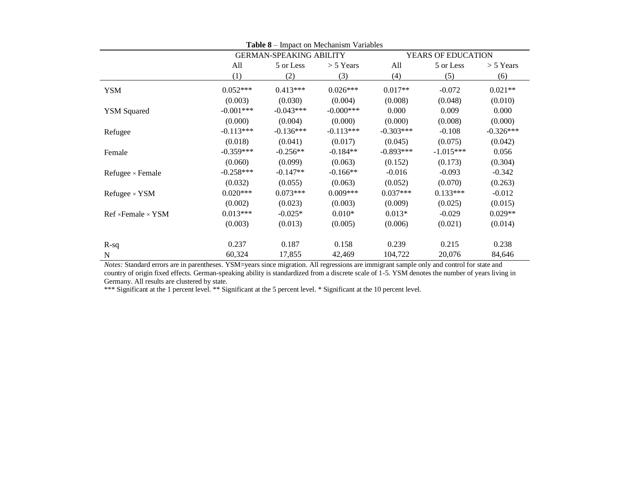| <b>Table 8</b> – Impact on Mechanism Variables |             |                                |              |                    |             |             |  |  |
|------------------------------------------------|-------------|--------------------------------|--------------|--------------------|-------------|-------------|--|--|
|                                                |             | <b>GERMAN-SPEAKING ABILITY</b> |              | YEARS OF EDUCATION |             |             |  |  |
|                                                | All         | 5 or Less                      | $> 5$ Years  | All                | 5 or Less   | $> 5$ Years |  |  |
|                                                | (1)         | (2)                            | (3)          | (4)                | (5)         | (6)         |  |  |
| YSM                                            | $0.052***$  | $0.413***$                     | $0.026***$   | $0.017**$          | $-0.072$    | $0.021**$   |  |  |
|                                                | (0.003)     | (0.030)                        | (0.004)      | (0.008)            | (0.048)     | (0.010)     |  |  |
| <b>YSM Squared</b>                             | $-0.001***$ | $-0.043***$                    | $-0.000$ *** | 0.000              | 0.009       | 0.000       |  |  |
|                                                | (0.000)     | (0.004)                        | (0.000)      | (0.000)            | (0.008)     | (0.000)     |  |  |
| Refugee                                        | $-0.113***$ | $-0.136***$                    | $-0.113***$  | $-0.303***$        | $-0.108$    | $-0.326***$ |  |  |
|                                                | (0.018)     | (0.041)                        | (0.017)      | (0.045)            | (0.075)     | (0.042)     |  |  |
| Female                                         | $-0.359***$ | $-0.256**$                     | $-0.184**$   | $-0.893***$        | $-1.015***$ | 0.056       |  |  |
|                                                | (0.060)     | (0.099)                        | (0.063)      | (0.152)            | (0.173)     | (0.304)     |  |  |
| Refugee $\times$ Female                        | $-0.258***$ | $-0.147**$                     | $-0.166**$   | $-0.016$           | $-0.093$    | $-0.342$    |  |  |
|                                                | (0.032)     | (0.055)                        | (0.063)      | (0.052)            | (0.070)     | (0.263)     |  |  |
| Refugee $\times$ YSM                           | $0.020***$  | $0.073***$                     | $0.009***$   | $0.037***$         | $0.133***$  | $-0.012$    |  |  |
|                                                | (0.002)     | (0.023)                        | (0.003)      | (0.009)            | (0.025)     | (0.015)     |  |  |
| $Ref \times Female \times YSM$                 | $0.013***$  | $-0.025*$                      | $0.010*$     | $0.013*$           | $-0.029$    | $0.029**$   |  |  |
|                                                | (0.003)     | (0.013)                        | (0.005)      | (0.006)            | (0.021)     | (0.014)     |  |  |
| $R-sq$                                         | 0.237       | 0.187                          | 0.158        | 0.239              | 0.215       | 0.238       |  |  |
| $\mathbf N$                                    | 60,324      | 17,855                         | 42,469       | 104,722            | 20,076      | 84,646      |  |  |

*Notes:* Standard errors are in parentheses. YSM=years since migration. All regressions are immigrant sample only and control for state and country of origin fixed effects. German-speaking ability is standardized from a discrete scale of 1-5. YSM denotes the number of years living in Germany. All results are clustered by state.